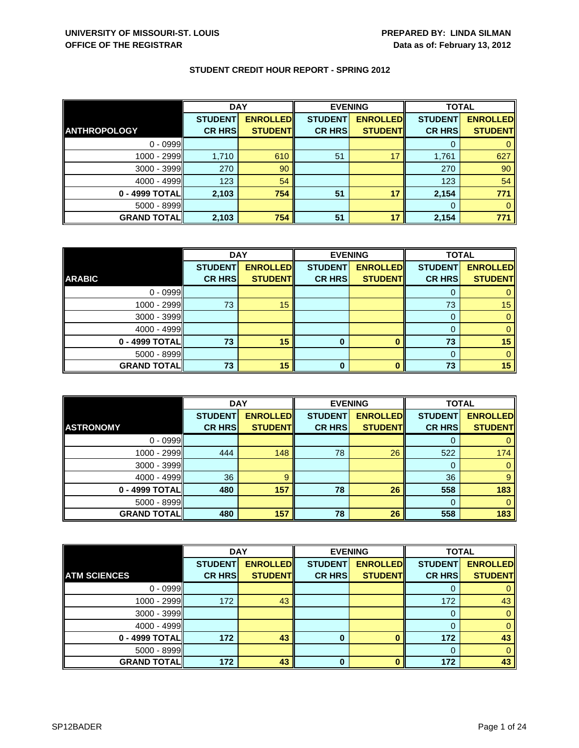|                     | <b>DAY</b>     |                 | <b>EVENING</b> |                 | <b>TOTAL</b>   |                 |
|---------------------|----------------|-----------------|----------------|-----------------|----------------|-----------------|
|                     | <b>STUDENT</b> | <b>ENROLLED</b> | <b>STUDENT</b> | <b>ENROLLED</b> | <b>STUDENT</b> | <b>ENROLLED</b> |
| <b>ANTHROPOLOGY</b> | <b>CR HRS</b>  | <b>STUDENT</b>  | <b>CR HRS</b>  | <b>STUDENT</b>  | <b>CR HRS</b>  | <b>STUDENT</b>  |
| $0 - 0999$          |                |                 |                |                 |                |                 |
| 1000 - 2999         | 1,710          | 610             | 51             |                 | 1,761          | 627             |
| 3000 - 3999         | 270            | 90              |                |                 | 270            | 90              |
| $4000 - 4999$       | 123            | 54              |                |                 | 123            | 54              |
| 0 - 4999 TOTAL      | 2,103          | 754             | 51             | 17              | 2,154          | 771             |
| $5000 - 8999$       |                |                 |                |                 | $\Omega$       |                 |
| <b>GRAND TOTAL</b>  | 2,103          | 754             | 51             | 17              | 2,154          | 771             |

|                    | <b>DAY</b>     |                 | <b>EVENING</b> |                 | <b>TOTAL</b>   |                 |
|--------------------|----------------|-----------------|----------------|-----------------|----------------|-----------------|
|                    | <b>STUDENT</b> | <b>ENROLLED</b> | <b>STUDENT</b> | <b>ENROLLED</b> | <b>STUDENT</b> | <b>ENROLLED</b> |
| <b>ARABIC</b>      | <b>CR HRS</b>  | <b>STUDENT</b>  | <b>CR HRS</b>  | <b>STUDENT</b>  | <b>CR HRS</b>  | <b>STUDENT</b>  |
| $0 - 0999$         |                |                 |                |                 |                |                 |
| 1000 - 2999        | 73             | 15              |                |                 | 73             | 15              |
| $3000 - 3999$      |                |                 |                |                 |                |                 |
| $4000 - 4999$      |                |                 |                |                 |                |                 |
| $0 - 4999$ TOTAL   | 73             | 15              | 0              |                 | 73             | 15              |
| $5000 - 8999$      |                |                 |                |                 |                |                 |
| <b>GRAND TOTAL</b> | 73             | 15              | 0              |                 | 73             | 15              |

|                    | <b>DAY</b>     |                 | <b>EVENING</b> |                 | <b>TOTAL</b>   |                 |
|--------------------|----------------|-----------------|----------------|-----------------|----------------|-----------------|
|                    | <b>STUDENT</b> | <b>ENROLLED</b> | <b>STUDENT</b> | <b>ENROLLED</b> | <b>STUDENT</b> | <b>ENROLLED</b> |
| <b>ASTRONOMY</b>   | <b>CR HRS</b>  | <b>STUDENT</b>  | <b>CR HRS</b>  | <b>STUDENT</b>  | <b>CR HRS</b>  | <b>STUDENT</b>  |
| $0 - 0999$         |                |                 |                |                 |                |                 |
| $1000 - 2999$      | 444            | 148             | 78             | 26              | 522            | 174             |
| $3000 - 3999$      |                |                 |                |                 | 0              |                 |
| $4000 - 4999$      | 36             | 9               |                |                 | 36             | 9               |
| 0 - 4999 TOTAL     | 480            | 157             | 78             | 26              | 558            | 183             |
| $5000 - 8999$      |                |                 |                |                 | $\Omega$       | 0               |
| <b>GRAND TOTAL</b> | 480            | 157             | 78             | 26              | 558            | 183             |

|                     | <b>DAY</b>     |                 | <b>EVENING</b> |                 | <b>TOTAL</b>   |                 |
|---------------------|----------------|-----------------|----------------|-----------------|----------------|-----------------|
|                     | <b>STUDENT</b> | <b>ENROLLED</b> | <b>STUDENT</b> | <b>ENROLLED</b> | <b>STUDENT</b> | <b>ENROLLED</b> |
| <b>ATM SCIENCES</b> | <b>CR HRS</b>  | <b>STUDENT</b>  | <b>CR HRS</b>  | <b>STUDENT</b>  | <b>CR HRS</b>  | <b>STUDENT</b>  |
| $0 - 0999$          |                |                 |                |                 |                |                 |
| 1000 - 2999         | 172            | 43              |                |                 | 172            | 43              |
| 3000 - 3999         |                |                 |                |                 |                |                 |
| 4000 - 4999         |                |                 |                |                 |                |                 |
| 0 - 4999 TOTAL      | 172            | 43              | 0              |                 | 172            | 43              |
| 5000 - 8999         |                |                 |                |                 |                |                 |
| <b>GRAND TOTAL</b>  | 172            | 43              | 0              |                 | 172            | 43              |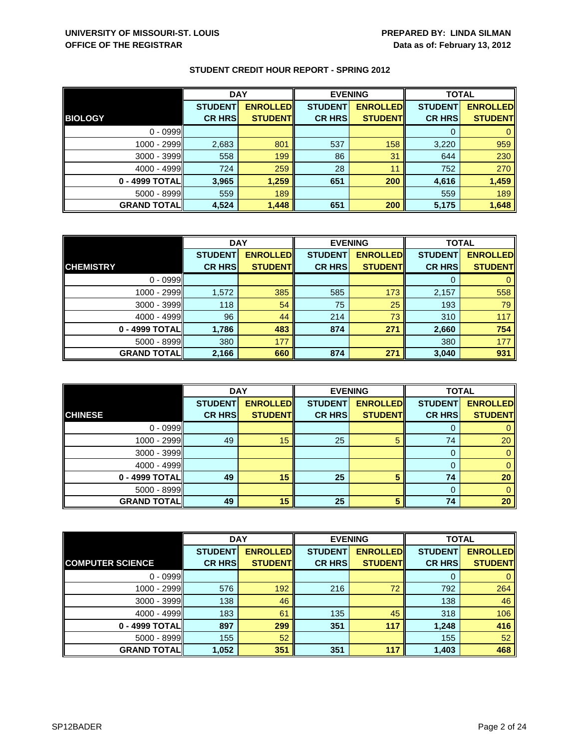|                    | <b>DAY</b>     |                 | <b>EVENING</b> |                 | <b>TOTAL</b>   |                 |
|--------------------|----------------|-----------------|----------------|-----------------|----------------|-----------------|
|                    | <b>STUDENT</b> | <b>ENROLLED</b> | <b>STUDENT</b> | <b>ENROLLED</b> | <b>STUDENT</b> | <b>ENROLLED</b> |
| <b>BIOLOGY</b>     | <b>CR HRS</b>  | <b>STUDENT</b>  | <b>CR HRS</b>  | <b>STUDENT</b>  | <b>CR HRS</b>  | <b>STUDENT</b>  |
| $0 - 0999$         |                |                 |                |                 |                |                 |
| 1000 - 2999II      | 2,683          | 801             | 537            | 158             | 3,220          | 959             |
| $3000 - 3999$      | 558            | 199             | 86             | 31              | 644            | 230             |
| $4000 - 4999$      | 724            | 259             | 28             | 11              | 752            | 270             |
| 0 - 4999 TOTAL     | 3,965          | 1,259           | 651            | 200             | 4,616          | 1,459           |
| $5000 - 8999$      | 559            | 189             |                |                 | 559            | 189             |
| <b>GRAND TOTAL</b> | 4,524          | 1,448           | 651            | 200             | 5,175          | 1,648           |

|                    | <b>DAY</b>     |                 |                | <b>EVENING</b>  | <b>TOTAL</b>   |                 |
|--------------------|----------------|-----------------|----------------|-----------------|----------------|-----------------|
|                    | <b>STUDENT</b> | <b>ENROLLED</b> | <b>STUDENT</b> | <b>ENROLLED</b> | <b>STUDENT</b> | <b>ENROLLED</b> |
| <b>CHEMISTRY</b>   | <b>CR HRS</b>  | <b>STUDENT</b>  | <b>CR HRS</b>  | <b>STUDENT</b>  | <b>CR HRS</b>  | <b>STUDENT</b>  |
| $0 - 0999$         |                |                 |                |                 |                |                 |
| 1000 - 2999        | 1,572          | 385             | 585            | 173             | 2,157          | 558             |
| $3000 - 3999$      | 118            | 54              | 75             | 25              | 193            | 79              |
| $4000 - 4999$      | 96             | 44              | 214            | 73              | 310            | 117             |
| 0 - 4999 TOTAL     | 1,786          | 483             | 874            | 271             | 2,660          | 754             |
| $5000 - 8999$      | 380            | 177             |                |                 | 380            | 177             |
| <b>GRAND TOTAL</b> | 2,166          | 660             | 874            | 271             | 3,040          | 931             |

|                     | <b>DAY</b>                      |                                   |                                 | <b>EVENING</b>                    | <b>TOTAL</b>                    |                                   |
|---------------------|---------------------------------|-----------------------------------|---------------------------------|-----------------------------------|---------------------------------|-----------------------------------|
| <b>CHINESE</b>      | <b>STUDENT</b><br><b>CR HRS</b> | <b>ENROLLED</b><br><b>STUDENT</b> | <b>STUDENT</b><br><b>CR HRS</b> | <b>ENROLLED</b><br><b>STUDENT</b> | <b>STUDENT</b><br><b>CR HRS</b> | <b>ENROLLED</b><br><b>STUDENT</b> |
|                     |                                 |                                   |                                 |                                   |                                 |                                   |
| $0 - 0999$          |                                 |                                   |                                 |                                   | O                               | 0                                 |
| $1000 - 2999$       | 49                              | 15                                | 25                              | 5                                 | 74                              | 20                                |
| $3000 - 3999$       |                                 |                                   |                                 |                                   | 0                               | $\overline{0}$                    |
| $4000 - 4999$       |                                 |                                   |                                 |                                   | 0                               | $\mathbf{0}$                      |
| 0 - 4999 TOTAL      | 49                              | 15                                | 25                              | 5                                 | 74                              | 20                                |
| $5000 - 8999$       |                                 |                                   |                                 |                                   | 0                               | $\mathbf{0}$                      |
| <b>GRAND TOTALI</b> | 49                              | 15                                | 25                              | 5                                 | 74                              | 20                                |

|                         | <b>DAY</b>     |                 | <b>EVENING</b> |                 | <b>TOTAL</b>   |                 |
|-------------------------|----------------|-----------------|----------------|-----------------|----------------|-----------------|
|                         | <b>STUDENT</b> | <b>ENROLLED</b> | <b>STUDENT</b> | <b>ENROLLED</b> | <b>STUDENT</b> | <b>ENROLLED</b> |
| <b>COMPUTER SCIENCE</b> | <b>CR HRS</b>  | <b>STUDENT</b>  | <b>CR HRS</b>  | <b>STUDENT</b>  | <b>CR HRS</b>  | <b>STUDENT</b>  |
| $0 - 0999$              |                |                 |                |                 | 0              | $\mathbf{0}$    |
| 1000 - 2999             | 576            | 192             | 216            | 72              | 792            | 264             |
| $3000 - 3999$           | 138            | 46              |                |                 | 138            | 46              |
| $4000 - 4999$           | 183            | 61              | 135            | 45              | 318            | 106             |
| 0 - 4999 TOTAL          | 897            | 299             | 351            | 117             | 1,248          | 416             |
| $5000 - 8999$           | 155            | 52              |                |                 | 155            | 52              |
| <b>GRAND TOTAL</b>      | 1,052          | 351             | 351            | 117             | 1,403          | 468             |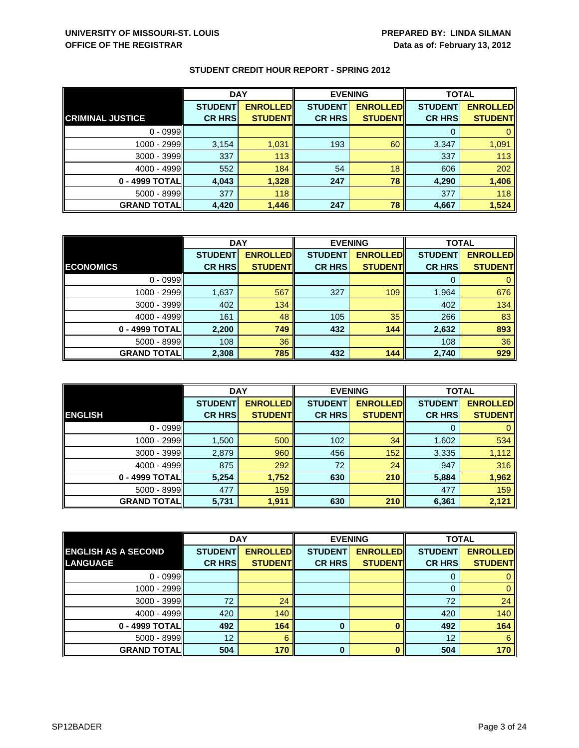|                         | <b>DAY</b>     |                 | <b>EVENING</b> |                 | <b>TOTAL</b>   |                 |
|-------------------------|----------------|-----------------|----------------|-----------------|----------------|-----------------|
|                         | <b>STUDENT</b> | <b>ENROLLED</b> | <b>STUDENT</b> | <b>ENROLLED</b> | <b>STUDENT</b> | <b>ENROLLED</b> |
| <b>CRIMINAL JUSTICE</b> | <b>CR HRS</b>  | <b>STUDENT</b>  | <b>CR HRS</b>  | <b>STUDENT</b>  | <b>CR HRS</b>  | <b>STUDENT</b>  |
| $0 - 0999$              |                |                 |                |                 |                |                 |
| 1000 - 2999             | 3,154          | 1,031           | 193            | 60              | 3,347          | 1,091           |
| 3000 - 3999             | 337            | 113             |                |                 | 337            | 113             |
| $4000 - 4999$           | 552            | 184             | 54             | 18              | 606            | 202             |
| 0 - 4999 TOTAL          | 4,043          | 1,328           | 247            | 78              | 4,290          | 1,406           |
| $5000 - 8999$           | 377            | 118             |                |                 | 377            | 118             |
| <b>GRAND TOTAL</b>      | 4,420          | 1,446           | 247            | 78              | 4,667          | 1,524           |

|                    | <b>DAY</b>     |                  |                | <b>EVENING</b>  | <b>TOTAL</b>   |                 |
|--------------------|----------------|------------------|----------------|-----------------|----------------|-----------------|
|                    | <b>STUDENT</b> | <b>ENROLLEDI</b> | <b>STUDENT</b> | <b>ENROLLED</b> | <b>STUDENT</b> | <b>ENROLLED</b> |
| <b>ECONOMICS</b>   | <b>CR HRS</b>  | <b>STUDENT</b>   | <b>CR HRS</b>  | <b>STUDENT</b>  | <b>CR HRS</b>  | <b>STUDENT</b>  |
| $0 - 0999$         |                |                  |                |                 |                |                 |
| 1000 - 2999        | 1,637          | 567              | 327            | 109             | 1,964          | 676             |
| $3000 - 3999$      | 402            | 134              |                |                 | 402            | 134             |
| $4000 - 4999$      | 161            | 48               | 105            | 35              | 266            | 83              |
| 0 - 4999 TOTAL     | 2,200          | 749              | 432            | 144             | 2,632          | 893             |
| $5000 - 8999$      | 108            | 36               |                |                 | 108            | 36              |
| <b>GRAND TOTAL</b> | 2,308          | 785              | 432            | 144             | 2,740          | 929             |

|                     | <b>DAY</b>     |                 |                 | <b>EVENING</b>  | <b>TOTAL</b>   |                 |
|---------------------|----------------|-----------------|-----------------|-----------------|----------------|-----------------|
|                     | <b>STUDENT</b> | <b>ENROLLED</b> | <b>STUDENT</b>  | <b>ENROLLED</b> | <b>STUDENT</b> | <b>ENROLLED</b> |
| <b>ENGLISH</b>      | <b>CR HRS</b>  | <b>STUDENT</b>  | <b>CR HRS</b>   | <b>STUDENT</b>  | <b>CR HRS</b>  | <b>STUDENT</b>  |
| $0 - 0999$          |                |                 |                 |                 | 0              | $\mathbf{0}$    |
| 1000 - 2999         | 1,500          | 500             | 102             | 34              | 1,602          | 534             |
| $3000 - 3999$       | 2,879          | 960             | 456             | 152             | 3,335          | 1,112           |
| $4000 - 4999$       | 875            | 292             | 72 <sup>°</sup> | 24              | 947            | 316             |
| 0 - 4999 TOTAL      | 5,254          | 1,752           | 630             | 210             | 5,884          | 1,962           |
| $5000 - 8999$       | 477            | 159             |                 |                 | 477            | 159             |
| <b>GRAND TOTALI</b> | 5,731          | 1,911           | 630             | 210             | 6,361          | 2,121           |

|                            | <b>DAY</b>     |                 |                | <b>EVENING</b>  | <b>TOTAL</b>   |                 |
|----------------------------|----------------|-----------------|----------------|-----------------|----------------|-----------------|
| <b>ENGLISH AS A SECOND</b> | <b>STUDENT</b> | <b>ENROLLED</b> | <b>STUDENT</b> | <b>ENROLLED</b> | <b>STUDENT</b> | <b>ENROLLED</b> |
| <b>LANGUAGE</b>            | <b>CR HRS</b>  | <b>STUDENT</b>  | <b>CR HRS</b>  | <b>STUDENT</b>  | <b>CR HRS</b>  | <b>STUDENT</b>  |
| $0 - 0999$                 |                |                 |                |                 | O              | 0               |
| 1000 - 2999                |                |                 |                |                 | 0              | $\mathbf{0}$    |
| $3000 - 3999$              | 72             | 24              |                |                 | 72             | 24              |
| $4000 - 4999$              | 420            | 140             |                |                 | 420            | 140             |
| 0 - 4999 TOTAL             | 492            | 164             | 0              |                 | 492            | 164             |
| $5000 - 8999$              | 12             | 6               |                |                 | 12             | 6               |
| <b>GRAND TOTAL</b>         | 504            | 170             | O              |                 | 504            | 170             |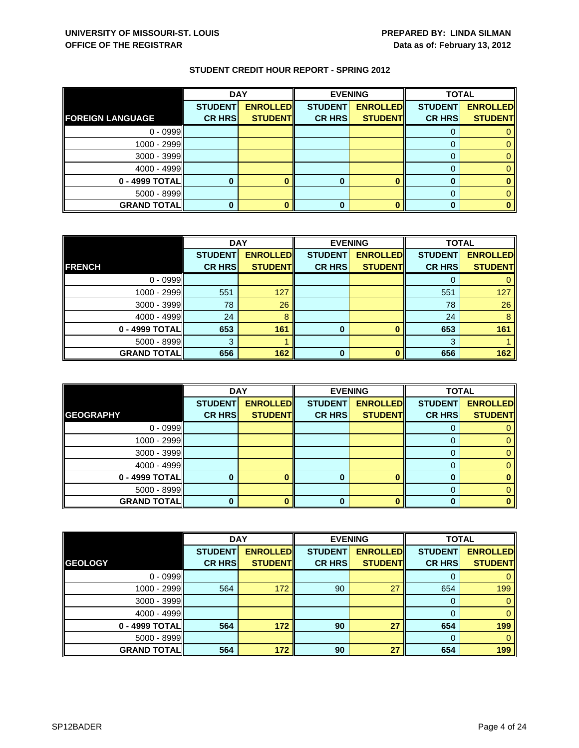|                         | <b>DAY</b>     |                 | <b>EVENING</b> |                 | <b>TOTAL</b>   |                 |
|-------------------------|----------------|-----------------|----------------|-----------------|----------------|-----------------|
|                         | <b>STUDENT</b> | <b>ENROLLED</b> | <b>STUDENT</b> | <b>ENROLLED</b> | <b>STUDENT</b> | <b>ENROLLED</b> |
| <b>FOREIGN LANGUAGE</b> | <b>CR HRS</b>  | <b>STUDENT</b>  | <b>CR HRS</b>  | <b>STUDENT</b>  | <b>CR HRS</b>  | <b>STUDENT</b>  |
| $0 - 0999$              |                |                 |                |                 |                |                 |
| 1000 - 2999             |                |                 |                |                 |                |                 |
| 3000 - 3999             |                |                 |                |                 |                |                 |
| $4000 - 4999$           |                |                 |                |                 |                |                 |
| 0 - 4999 TOTAL          |                |                 |                |                 |                |                 |
| $5000 - 8999$           |                |                 |                |                 |                |                 |
| <b>GRAND TOTAL</b>      |                |                 |                |                 |                |                 |

|                    | <b>DAY</b>     |                 | <b>EVENING</b> |                 | <b>TOTAL</b>   |                 |
|--------------------|----------------|-----------------|----------------|-----------------|----------------|-----------------|
|                    | <b>STUDENT</b> | <b>ENROLLED</b> | <b>STUDENT</b> | <b>ENROLLED</b> | <b>STUDENT</b> | <b>ENROLLED</b> |
| <b>FRENCH</b>      | <b>CR HRS</b>  | <b>STUDENT</b>  | <b>CR HRS</b>  | <b>STUDENT</b>  | <b>CR HRS</b>  | <b>STUDENT</b>  |
| $0 - 0999$         |                |                 |                |                 |                |                 |
| 1000 - 2999        | 551            | 127             |                |                 | 551            | 127             |
| 3000 - 3999        | 78             | 26              |                |                 | 78             | 26              |
| $4000 - 4999$      | 24             | 8               |                |                 | 24             | 8               |
| 0 - 4999 TOTAL     | 653            | 161             | 0              |                 | 653            | 161             |
| $5000 - 8999$      |                |                 |                |                 | 3              |                 |
| <b>GRAND TOTAL</b> | 656            | 162             | ŋ              |                 | 656            | 162             |

|                    | <b>DAY</b>                      |                                   | <b>EVENING</b>                  |                                   | <b>TOTAL</b>                    |                                   |
|--------------------|---------------------------------|-----------------------------------|---------------------------------|-----------------------------------|---------------------------------|-----------------------------------|
| <b>GEOGRAPHY</b>   | <b>STUDENT</b><br><b>CR HRS</b> | <b>ENROLLED</b><br><b>STUDENT</b> | <b>STUDENT</b><br><b>CR HRS</b> | <b>ENROLLED</b><br><b>STUDENT</b> | <b>STUDENT</b><br><b>CR HRS</b> | <b>ENROLLED</b><br><b>STUDENT</b> |
| $0 - 0999$         |                                 |                                   |                                 |                                   |                                 |                                   |
|                    |                                 |                                   |                                 |                                   | O                               |                                   |
| 1000 - 2999        |                                 |                                   |                                 |                                   |                                 |                                   |
| $3000 - 3999$      |                                 |                                   |                                 |                                   |                                 |                                   |
| $4000 - 4999$      |                                 |                                   |                                 |                                   | 0                               |                                   |
| 0 - 4999 TOTAL     |                                 |                                   |                                 | ∩                                 |                                 |                                   |
| $5000 - 8999$      |                                 |                                   |                                 |                                   |                                 |                                   |
| <b>GRAND TOTAL</b> |                                 |                                   | 0                               |                                   |                                 |                                   |

|                    | <b>DAY</b>     |                 | <b>EVENING</b> |                 | <b>TOTAL</b>   |                 |
|--------------------|----------------|-----------------|----------------|-----------------|----------------|-----------------|
|                    | <b>STUDENT</b> | <b>ENROLLED</b> | <b>STUDENT</b> | <b>ENROLLED</b> | <b>STUDENT</b> | <b>ENROLLED</b> |
| <b>GEOLOGY</b>     | <b>CR HRS</b>  | <b>STUDENT</b>  | <b>CR HRS</b>  | <b>STUDENT</b>  | <b>CR HRS</b>  | <b>STUDENT</b>  |
| $0 - 0999$         |                |                 |                |                 | 0              | $\mathbf{0}$    |
| 1000 - 2999        | 564            | 172             | 90             | 27              | 654            | 199             |
| $3000 - 3999$      |                |                 |                |                 | 0              | $\mathbf{0}$    |
| $4000 - 4999$      |                |                 |                |                 | 0              | $\mathbf{0}$    |
| 0 - 4999 TOTAL     | 564            | 172             | 90             | 27              | 654            | 199             |
| $5000 - 8999$      |                |                 |                |                 | $\Omega$       | $\mathbf{0}$    |
| <b>GRAND TOTAL</b> | 564            | 172             | 90             | 27              | 654            | 199             |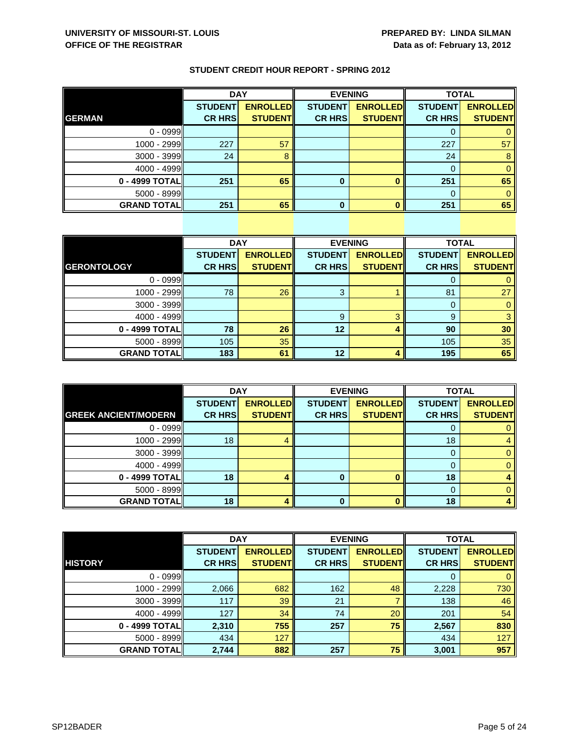|  | <b>STUDENT CREDIT HOUR REPORT - SPRING 2012</b> |
|--|-------------------------------------------------|
|--|-------------------------------------------------|

|                    | <b>DAY</b>     |                 | <b>EVENING</b> |                 | <b>TOTAL</b>   |                 |
|--------------------|----------------|-----------------|----------------|-----------------|----------------|-----------------|
|                    | <b>STUDENT</b> | <b>ENROLLED</b> | <b>STUDENT</b> | <b>ENROLLED</b> | <b>STUDENT</b> | <b>ENROLLED</b> |
| <b>GERMAN</b>      | <b>CR HRS</b>  | <b>STUDENT</b>  | <b>CR HRS</b>  | <b>STUDENT</b>  | <b>CR HRS</b>  | <b>STUDENT</b>  |
| $0 - 0999$         |                |                 |                |                 |                |                 |
| 1000 - 2999        | 227            | 57              |                |                 | 227            | 57              |
| 3000 - 3999        | 24             |                 |                |                 | 24             | 8               |
| $4000 - 4999$      |                |                 |                |                 |                |                 |
| 0 - 4999 TOTAL     | 251            | 65              | 0              |                 | 251            | 65              |
| 5000 - 8999        |                |                 |                |                 |                |                 |
| <b>GRAND TOTAL</b> | 251            | 65              | U              |                 | 251            | 65              |

|                     | <b>DAY</b>     |                 |                | <b>EVENING</b>  | <b>TOTAL</b>   |                 |
|---------------------|----------------|-----------------|----------------|-----------------|----------------|-----------------|
|                     | <b>STUDENT</b> | <b>ENROLLED</b> | <b>STUDENT</b> | <b>ENROLLED</b> | <b>STUDENT</b> | <b>ENROLLED</b> |
| <b>GERONTOLOGY</b>  | <b>CR HRS</b>  | <b>STUDENT</b>  | <b>CR HRS</b>  | <b>STUDENT</b>  | <b>CR HRS</b>  | <b>STUDENT</b>  |
| $0 - 0999$          |                |                 |                |                 | 0              | $\mathbf{0}$    |
| $1000 - 2999$       | 78             | 26              | 3              |                 | 81             | 27              |
| $3000 - 3999$       |                |                 |                |                 | 0              | $\mathbf{0}$    |
| $4000 - 4999$       |                |                 | 9              | З               | 9              | 3               |
| 0 - 4999 TOTAL      | 78             | 26              | 12             |                 | 90             | 30              |
| 5000 - 8999         | 105            | 35              |                |                 | 105            | 35              |
| <b>GRAND TOTALI</b> | 183            | 61              | 12             |                 | 195            | 65              |

|                             | <b>DAY</b>     |                 | <b>EVENING</b> |                 | <b>TOTAL</b>   |                 |
|-----------------------------|----------------|-----------------|----------------|-----------------|----------------|-----------------|
|                             | <b>STUDENT</b> | <b>ENROLLED</b> | <b>STUDENT</b> | <b>ENROLLED</b> | <b>STUDENT</b> | <b>ENROLLED</b> |
| <b>GREEK ANCIENT/MODERN</b> | <b>CR HRS</b>  | <b>STUDENT</b>  | <b>CR HRS</b>  | <b>STUDENT</b>  | <b>CR HRS</b>  | <b>STUDENT</b>  |
| $0 - 0999$                  |                |                 |                |                 | O              |                 |
| 1000 - 2999                 | 18             |                 |                |                 | 18             |                 |
| $3000 - 3999$               |                |                 |                |                 |                |                 |
| $4000 - 4999$               |                |                 |                |                 | 0              |                 |
| 0 - 4999 TOTAL              | 18             |                 |                | ∩               | 18             |                 |
| $5000 - 8999$               |                |                 |                |                 |                |                 |
| <b>GRAND TOTAL</b>          | 18             |                 | 0              |                 | 18             |                 |

|                    | <b>DAY</b>     |                 |                | <b>EVENING</b>  | <b>TOTAL</b>   |                 |
|--------------------|----------------|-----------------|----------------|-----------------|----------------|-----------------|
|                    | <b>STUDENT</b> | <b>ENROLLED</b> | <b>STUDENT</b> | <b>ENROLLED</b> | <b>STUDENT</b> | <b>ENROLLED</b> |
| <b>HISTORY</b>     | <b>CR HRS</b>  | <b>STUDENT</b>  | <b>CR HRS</b>  | <b>STUDENT</b>  | <b>CR HRS</b>  | <b>STUDENT</b>  |
| $0 - 0999$         |                |                 |                |                 | 0              | $\mathbf{0}$    |
| 1000 - 2999        | 2,066          | 682             | 162            | 48              | 2,228          | 730             |
| $3000 - 3999$      | 117            | 39              | 21             |                 | 138            | 46              |
| $4000 - 4999$      | 127            | 34              | 74             | 20              | 201            | 54              |
| 0 - 4999 TOTAL     | 2,310          | 755             | 257            | 75              | 2,567          | 830             |
| $5000 - 8999$      | 434            | 127             |                |                 | 434            | 127             |
| <b>GRAND TOTAL</b> | 2,744          | 882             | 257            | 75              | 3,001          | 957             |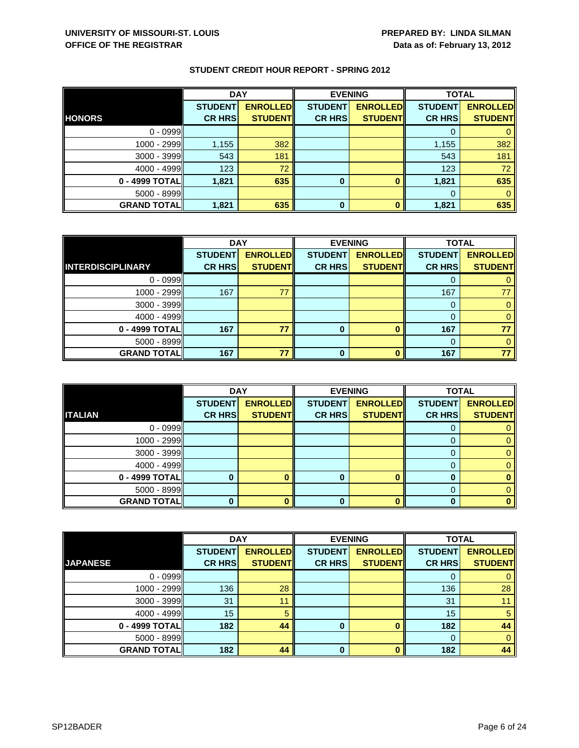|                    | <b>DAY</b>     |                 | <b>EVENING</b> |                 | <b>TOTAL</b>   |                 |
|--------------------|----------------|-----------------|----------------|-----------------|----------------|-----------------|
|                    | <b>STUDENT</b> | <b>ENROLLED</b> | <b>STUDENT</b> | <b>ENROLLED</b> | <b>STUDENT</b> | <b>ENROLLED</b> |
| <b>HONORS</b>      | <b>CR HRS</b>  | <b>STUDENT</b>  | <b>CR HRS</b>  | <b>STUDENT</b>  | <b>CR HRS</b>  | <b>STUDENT</b>  |
| $0 - 0999$         |                |                 |                |                 |                |                 |
| 1000 - 2999II      | 1,155          | 382             |                |                 | 1,155          | 382             |
| 3000 - 3999        | 543            | 181             |                |                 | 543            | 181             |
| $4000 - 4999$      | 123            | 72              |                |                 | 123            | 72              |
| 0 - 4999 TOTAL     | 1,821          | 635             | 0              |                 | 1,821          | 635             |
| 5000 - 8999        |                |                 |                |                 |                |                 |
| <b>GRAND TOTAL</b> | 1,821          | 635             | 0              |                 | 1,821          | 635             |

|                          | <b>DAY</b>     |                 | <b>EVENING</b> |                 | <b>TOTAL</b>   |                 |
|--------------------------|----------------|-----------------|----------------|-----------------|----------------|-----------------|
|                          | <b>STUDENT</b> | <b>ENROLLED</b> | <b>STUDENT</b> | <b>ENROLLED</b> | <b>STUDENT</b> | <b>ENROLLED</b> |
| <b>INTERDISCIPLINARY</b> | <b>CR HRS</b>  | <b>STUDENT</b>  | <b>CR HRS</b>  | <b>STUDENT</b>  | <b>CR HRS</b>  | <b>STUDENT</b>  |
| $0 - 0999$               |                |                 |                |                 |                |                 |
| $1000 - 2999$            | 167            | 77              |                |                 | 167            | 77              |
| $3000 - 3999$            |                |                 |                |                 | 0              | 0               |
| 4000 - 4999              |                |                 |                |                 | 0              | $\mathbf{0}$    |
| 0 - 4999 TOTAL           | 167            | 77              | 0              |                 | 167            | 77              |
| $5000 - 8999$            |                |                 |                |                 | 0              | 0               |
| <b>GRAND TOTAL</b>       | 167            | 77              | ŋ              |                 | 167            | 77 <sup>1</sup> |

|                    | <b>DAY</b>     |                 |                | <b>EVENING</b>  | <b>TOTAL</b>   |                 |
|--------------------|----------------|-----------------|----------------|-----------------|----------------|-----------------|
|                    | <b>STUDENT</b> | <b>ENROLLED</b> | <b>STUDENT</b> | <b>ENROLLED</b> | <b>STUDENT</b> | <b>ENROLLED</b> |
| <b>ITALIAN</b>     | <b>CR HRS</b>  | <b>STUDENT</b>  | <b>CR HRS</b>  | <b>STUDENT</b>  | <b>CR HRS</b>  | <b>STUDENT</b>  |
| $0 - 0999$         |                |                 |                |                 | O              |                 |
| $1000 - 2999$      |                |                 |                |                 |                |                 |
| $3000 - 3999$      |                |                 |                |                 |                |                 |
| $4000 - 4999$      |                |                 |                |                 | 0              |                 |
| 0 - 4999 TOTAL     |                |                 |                |                 |                |                 |
| $5000 - 8999$      |                |                 |                |                 |                |                 |
| <b>GRAND TOTAL</b> |                |                 | 0              |                 | 0              |                 |

|                    | <b>DAY</b>     |                 | <b>EVENING</b> |                 | <b>TOTAL</b>   |                 |
|--------------------|----------------|-----------------|----------------|-----------------|----------------|-----------------|
|                    | <b>STUDENT</b> | <b>ENROLLED</b> | <b>STUDENT</b> | <b>ENROLLED</b> | <b>STUDENT</b> | <b>ENROLLED</b> |
| <b>JAPANESE</b>    | <b>CR HRS</b>  | <b>STUDENT</b>  | <b>CR HRS</b>  | <b>STUDENT</b>  | <b>CR HRS</b>  | <b>STUDENT</b>  |
| $0 - 0999$         |                |                 |                |                 | 0              | 0               |
| 1000 - 2999        | 136            | 28              |                |                 | 136            | 28              |
| $3000 - 3999$      | 31             | 11              |                |                 | 31             | 11              |
| $4000 - 4999$      | 15             | 5               |                |                 | 15             | 5               |
| $0 - 4999$ TOTAL   | 182            | 44              | $\bf{0}$       |                 | 182            | 44              |
| $5000 - 8999$      |                |                 |                |                 | $\Omega$       | $\mathbf{0}$    |
| <b>GRAND TOTAL</b> | 182            | 44              | O              |                 | 182            | 44              |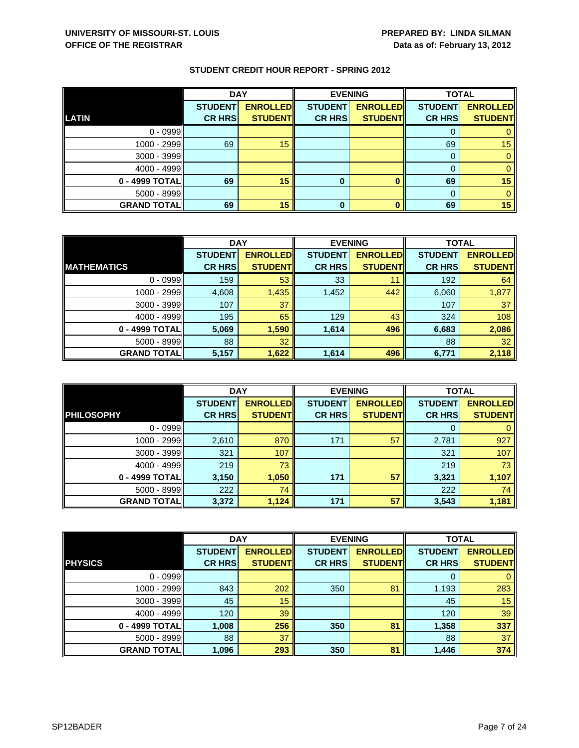|                    | <b>DAY</b>     |                 |                | <b>EVENING</b>  |                | <b>TOTAL</b>    |  |
|--------------------|----------------|-----------------|----------------|-----------------|----------------|-----------------|--|
|                    | <b>STUDENT</b> | <b>ENROLLED</b> | <b>STUDENT</b> | <b>ENROLLED</b> | <b>STUDENT</b> | <b>ENROLLED</b> |  |
| <b>LATIN</b>       | <b>CR HRS</b>  | <b>STUDENT</b>  | <b>CR HRS</b>  | <b>STUDENT</b>  | <b>CR HRS</b>  | <b>STUDENT</b>  |  |
| $0 - 0999$         |                |                 |                |                 |                |                 |  |
| 1000 - 2999        | 69             | 15              |                |                 | 69             | 15 <sup>°</sup> |  |
| 3000 - 3999        |                |                 |                |                 |                |                 |  |
| $4000 - 4999$      |                |                 |                |                 |                |                 |  |
| 0 - 4999 TOTAL     | 69             | 15              | 0              |                 | 69             | 15              |  |
| $5000 - 8999$      |                |                 |                |                 |                |                 |  |
| <b>GRAND TOTAL</b> | 69             | 15              | 0              |                 | 69             | 15              |  |

|                     | <b>DAY</b>     |                 | <b>EVENING</b> |                 | <b>TOTAL</b>   |                 |
|---------------------|----------------|-----------------|----------------|-----------------|----------------|-----------------|
|                     | <b>STUDENT</b> | <b>ENROLLED</b> | <b>STUDENT</b> | <b>ENROLLED</b> | <b>STUDENT</b> | <b>ENROLLED</b> |
| <b>IMATHEMATICS</b> | <b>CR HRS</b>  | <b>STUDENT</b>  | <b>CR HRS</b>  | <b>STUDENT</b>  | <b>CR HRS</b>  | <b>STUDENT</b>  |
| $0 - 0999$          | 159            | 53              | 33             | 11              | 192            | 64              |
| 1000 - 2999         | 4,608          | 1,435           | 1,452          | 442             | 6,060          | 1,877           |
| 3000 - 3999         | 107            | 37              |                |                 | 107            | 37              |
| $4000 - 4999$       | 195            | 65              | 129            | 43              | 324            | 108             |
| 0 - 4999 TOTAL      | 5,069          | 1,590           | 1,614          | 496             | 6,683          | 2,086           |
| 5000 - 8999         | 88             | 32              |                |                 | 88             | 32              |
| <b>GRAND TOTAL</b>  | 5,157          | 1,622           | 1,614          | 496             | 6,771          | 2,118           |

|                    | <b>DAY</b>                      |                                    |                                 | <b>EVENING</b>                    | <b>TOTAL</b>                    |                                   |
|--------------------|---------------------------------|------------------------------------|---------------------------------|-----------------------------------|---------------------------------|-----------------------------------|
| <b>PHILOSOPHY</b>  | <b>STUDENT</b><br><b>CR HRS</b> | <b>ENROLLED</b><br><b>STUDENTI</b> | <b>STUDENT</b><br><b>CR HRS</b> | <b>ENROLLED</b><br><b>STUDENT</b> | <b>STUDENT</b><br><b>CR HRS</b> | <b>ENROLLED</b><br><b>STUDENT</b> |
| $0 - 0999$         |                                 |                                    |                                 |                                   | O                               |                                   |
| 1000 - 2999        | 2,610                           | 870                                | 171                             | 57                                | 2,781                           | 927                               |
| $3000 - 3999$      | 321                             | 107                                |                                 |                                   | 321                             | 107                               |
| $4000 - 4999$      | 219                             | 73                                 |                                 |                                   | 219                             | 73                                |
| 0 - 4999 TOTAL     | 3,150                           | 1,050                              | 171                             | 57                                | 3,321                           | 1,107                             |
| $5000 - 8999$      | 222                             | 74                                 |                                 |                                   | 222                             | 74                                |
| <b>GRAND TOTAL</b> | 3,372                           | 1,124                              | 171                             | 57                                | 3,543                           | 1,181                             |

|                    | <b>DAY</b>     |                 | <b>EVENING</b> |                 | <b>TOTAL</b>   |                 |
|--------------------|----------------|-----------------|----------------|-----------------|----------------|-----------------|
|                    | <b>STUDENT</b> | <b>ENROLLED</b> | <b>STUDENT</b> | <b>ENROLLED</b> | <b>STUDENT</b> | <b>ENROLLED</b> |
| <b>PHYSICS</b>     | <b>CR HRS</b>  | <b>STUDENT</b>  | <b>CR HRS</b>  | <b>STUDENT</b>  | <b>CR HRS</b>  | <b>STUDENT</b>  |
| $0 - 0999$         |                |                 |                |                 | 0              | $\mathbf{0}$    |
| 1000 - 2999        | 843            | 202             | 350            | 81              | 1,193          | 283             |
| 3000 - 3999        | 45             | 15              |                |                 | 45             | 15              |
| $4000 - 4999$      | 120            | 39              |                |                 | 120            | 39              |
| 0 - 4999 TOTAL     | 1,008          | 256             | 350            | 81              | 1,358          | 337             |
| 5000 - 8999        | 88             | 37              |                |                 | 88             | 37              |
| <b>GRAND TOTAL</b> | 1,096          | 293             | 350            | 81              | 1,446          | 374             |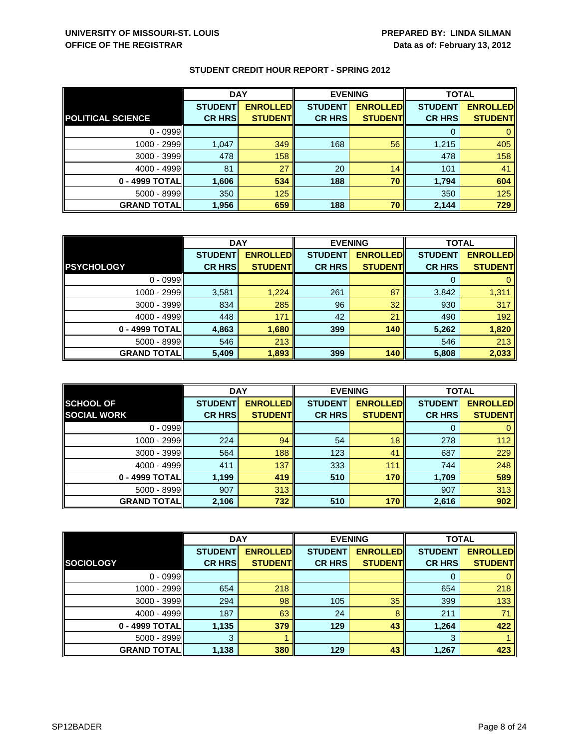|                          | <b>DAY</b>     |                 | <b>EVENING</b> |                 | <b>TOTAL</b>   |                 |
|--------------------------|----------------|-----------------|----------------|-----------------|----------------|-----------------|
|                          | <b>STUDENT</b> | <b>ENROLLED</b> | <b>STUDENT</b> | <b>ENROLLED</b> | <b>STUDENT</b> | <b>ENROLLED</b> |
| <b>POLITICAL SCIENCE</b> | <b>CR HRS</b>  | <b>STUDENT</b>  | <b>CR HRS</b>  | <b>STUDENT</b>  | <b>CR HRS</b>  | <b>STUDENT</b>  |
| $0 - 0999$               |                |                 |                |                 |                |                 |
| 1000 - 2999              | 1,047          | 349             | 168            | 56              | 1,215          | 405             |
| $3000 - 3999$            | 478            | 158             |                |                 | 478            | 158             |
| $4000 - 4999$            | 81             | 27              | 20             | 14              | 101            | 41              |
| 0 - 4999 TOTAL           | 1,606          | 534             | 188            | 70              | 1,794          | 604             |
| $5000 - 8999$            | 350            | 125             |                |                 | 350            | 125             |
| <b>GRAND TOTAL</b>       | 1,956          | 659             | 188            | 70              | 2,144          | 729             |

|                    | <b>DAY</b>     |                 |                | <b>EVENING</b>  | <b>TOTAL</b>   |                 |
|--------------------|----------------|-----------------|----------------|-----------------|----------------|-----------------|
|                    | <b>STUDENT</b> | <b>ENROLLED</b> | <b>STUDENT</b> | <b>ENROLLED</b> | <b>STUDENT</b> | <b>ENROLLED</b> |
| <b>PSYCHOLOGY</b>  | <b>CR HRS</b>  | <b>STUDENT</b>  | <b>CR HRS</b>  | <b>STUDENT</b>  | <b>CR HRS</b>  | <b>STUDENT</b>  |
| $0 - 0999$         |                |                 |                |                 |                |                 |
| 1000 - 2999        | 3,581          | 1,224           | 261            | 87              | 3,842          | 1,311           |
| $3000 - 3999$      | 834            | 285             | 96             | 32              | 930            | 317             |
| $4000 - 4999$      | 448            | 171             | 42             | 21              | 490            | 192             |
| 0 - 4999 TOTALI    | 4,863          | 1,680           | 399            | 140             | 5,262          | 1,820           |
| $5000 - 8999$      | 546            | 213             |                |                 | 546            | 213             |
| <b>GRAND TOTAL</b> | 5,409          | 1,893           | 399            | 140             | 5,808          | 2,033           |

|                     | <b>DAY</b>     |                 | <b>EVENING</b> |                 | <b>TOTAL</b>   |                 |
|---------------------|----------------|-----------------|----------------|-----------------|----------------|-----------------|
| <b>SCHOOL OF</b>    | <b>STUDENT</b> | <b>ENROLLED</b> | <b>STUDENT</b> | <b>ENROLLED</b> | <b>STUDENT</b> | <b>ENROLLED</b> |
| <b>SOCIAL WORK</b>  | <b>CR HRS</b>  | <b>STUDENT</b>  | <b>CR HRS</b>  | <b>STUDENT</b>  | <b>CR HRS</b>  | <b>STUDENT</b>  |
| $0 - 0999$          |                |                 |                |                 | 0              | $\mathbf{0}$    |
| 1000 - 2999         | 224            | 94              | 54             | 18              | 278            | 112             |
| $3000 - 3999$       | 564            | 188             | 123            | 41              | 687            | 229             |
| $4000 - 4999$       | 411            | 137             | 333            | 111             | 744            | 248             |
| 0 - 4999 TOTAL      | 1,199          | 419             | 510            | 170             | 1,709          | 589             |
| $5000 - 8999$       | 907            | 313             |                |                 | 907            | 313             |
| <b>GRAND TOTALI</b> | 2,106          | 732             | 510            | 170             | 2,616          | 902             |

|                    | <b>DAY</b>     |                 | <b>EVENING</b> |                 | <b>TOTAL</b>   |                 |
|--------------------|----------------|-----------------|----------------|-----------------|----------------|-----------------|
|                    | <b>STUDENT</b> | <b>ENROLLED</b> | <b>STUDENT</b> | <b>ENROLLED</b> | <b>STUDENT</b> | <b>ENROLLED</b> |
| <b>SOCIOLOGY</b>   | <b>CR HRS</b>  | <b>STUDENT</b>  | <b>CR HRS</b>  | <b>STUDENT</b>  | <b>CR HRS</b>  | <b>STUDENT</b>  |
| $0 - 0999$         |                |                 |                |                 | 0              | $\mathbf{0}$    |
| 1000 - 2999        | 654            | 218             |                |                 | 654            | 218             |
| 3000 - 3999        | 294            | 98              | 105            | 35              | 399            | 133             |
| $4000 - 4999$      | 187            | 63              | 24             | 8               | 211            | 71              |
| 0 - 4999 TOTAL     | 1,135          | 379             | 129            | 43              | 1,264          | 422             |
| 5000 - 8999        | 3              |                 |                |                 | 3              |                 |
| <b>GRAND TOTAL</b> | 1,138          | 380             | 129            | 43              | 1,267          | 423             |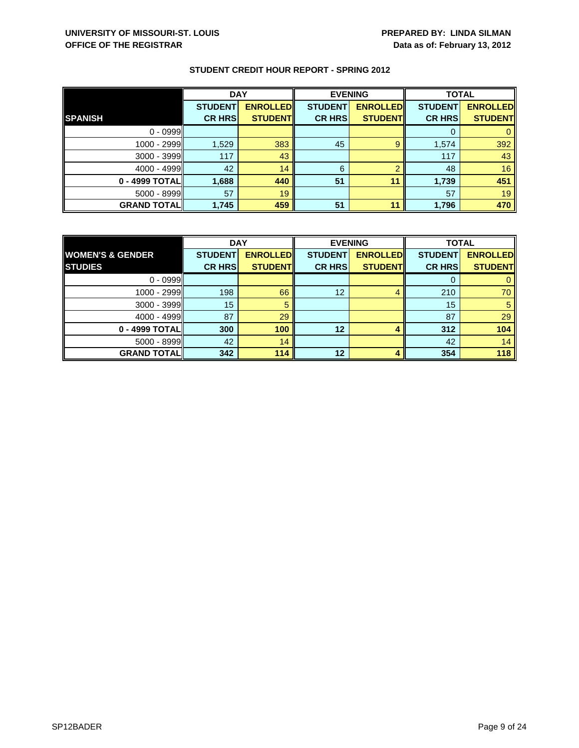|                    | <b>DAY</b>     |                 |                | <b>EVENING</b>  |                | <b>TOTAL</b>    |  |
|--------------------|----------------|-----------------|----------------|-----------------|----------------|-----------------|--|
|                    | <b>STUDENT</b> | <b>ENROLLED</b> | <b>STUDENT</b> | <b>ENROLLED</b> | <b>STUDENT</b> | <b>ENROLLED</b> |  |
| <b>SPANISH</b>     | <b>CR HRS</b>  | <b>STUDENT</b>  | <b>CR HRS</b>  | <b>STUDENT</b>  | <b>CR HRS</b>  | <b>STUDENT</b>  |  |
| $0 - 0999$         |                |                 |                |                 |                |                 |  |
| 1000 - 2999        | 1,529          | 383             | 45             | 9               | 1,574          | 392             |  |
| $3000 - 3999$      | 117            | 43              |                |                 | 117            | 43              |  |
| $4000 - 4999$      | 42             | 14              | 6              | ≘               | 48             | 16              |  |
| 0 - 4999 TOTAL     | 1,688          | 440             | 51             | 11              | 1,739          | 451             |  |
| $5000 - 8999$      | 57             | 19              |                |                 | 57             | 19              |  |
| <b>GRAND TOTAL</b> | 1,745          | 459             | 51             | 11              | 1,796          | 470             |  |

|                             | <b>DAY</b>     |                 | <b>EVENING</b> |                 | <b>TOTAL</b>   |                 |
|-----------------------------|----------------|-----------------|----------------|-----------------|----------------|-----------------|
| <b>WOMEN'S &amp; GENDER</b> | <b>STUDENT</b> | <b>ENROLLED</b> | <b>STUDENT</b> | <b>ENROLLED</b> | <b>STUDENT</b> | <b>ENROLLED</b> |
| <b>STUDIES</b>              | <b>CR HRS</b>  | <b>STUDENT</b>  | <b>CR HRS</b>  | <b>STUDENT</b>  | <b>CR HRS</b>  | <b>STUDENT</b>  |
| $0 - 0999$                  |                |                 |                |                 |                |                 |
| 1000 - 2999                 | 198            | 66              | 12             | 4               | 210            | 70              |
| $3000 - 3999$               | 15             |                 |                |                 | 15             | 5               |
| $4000 - 4999$               | 87             | 29              |                |                 | 87             | 29              |
| 0 - 4999 TOTAL              | 300            | 100             | 12             |                 | 312            | 104             |
| $5000 - 8999$               | 42             | 14              |                |                 | 42             | 14              |
| <b>GRAND TOTAL</b>          | 342            | 114             | 12             |                 | 354            | 118             |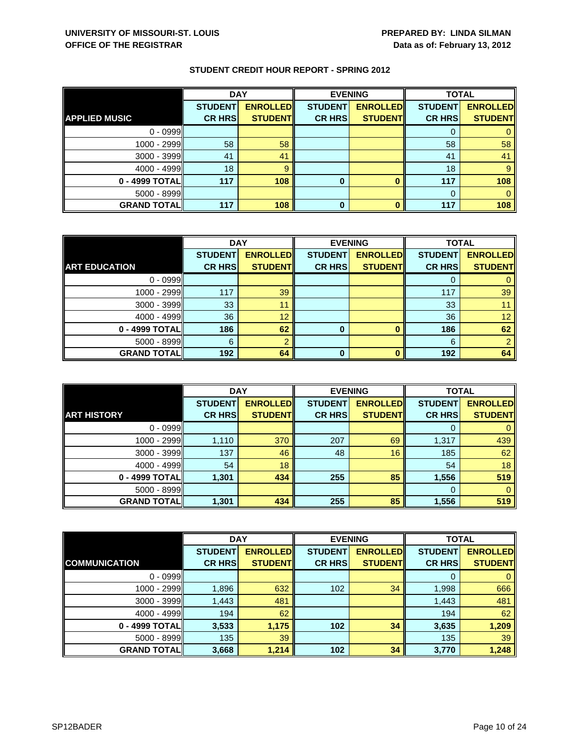|                      | <b>DAY</b>     |                 |                | <b>EVENING</b>  | <b>TOTAL</b>   |                 |
|----------------------|----------------|-----------------|----------------|-----------------|----------------|-----------------|
|                      | <b>STUDENT</b> | <b>ENROLLED</b> | <b>STUDENT</b> | <b>ENROLLED</b> | <b>STUDENT</b> | <b>ENROLLED</b> |
| <b>APPLIED MUSIC</b> | <b>CR HRS</b>  | <b>STUDENT</b>  | <b>CR HRS</b>  | <b>STUDENT</b>  | <b>CR HRS</b>  | <b>STUDENT</b>  |
| $0 - 0999$           |                |                 |                |                 |                |                 |
| $1000 - 2999$        | 58             | 58              |                |                 | 58             | 58              |
| $3000 - 3999$        | 41             | 41              |                |                 | 41             | 41              |
| $4000 - 4999$        | 18             |                 |                |                 | 18             |                 |
| $0 - 4999$ TOTAL     | 117            | 108             | 0              |                 | 117            | 108             |
| $5000 - 8999$        |                |                 |                |                 | $\Omega$       |                 |
| <b>GRAND TOTAL</b>   | 117            | 108             | 0              |                 | 117            | 108             |

|                      | <b>DAY</b>     |                 | <b>EVENING</b> |                 | <b>TOTAL</b>   |                 |
|----------------------|----------------|-----------------|----------------|-----------------|----------------|-----------------|
|                      | <b>STUDENT</b> | <b>ENROLLED</b> | <b>STUDENT</b> | <b>ENROLLED</b> | <b>STUDENT</b> | <b>ENROLLED</b> |
| <b>ART EDUCATION</b> | <b>CR HRS</b>  | <b>STUDENT</b>  | <b>CR HRS</b>  | <b>STUDENT</b>  | <b>CR HRS</b>  | <b>STUDENT</b>  |
| $0 - 0999$           |                |                 |                |                 |                |                 |
| 1000 - 2999          | 117            | 39              |                |                 | 117            | 39              |
| 3000 - 3999          | 33             | 11              |                |                 | 33             |                 |
| $4000 - 4999$        | 36             | 12              |                |                 | 36             | 12              |
| 0 - 4999 TOTAL       | 186            | 62              | 0              |                 | 186            | 62              |
| $5000 - 8999$        | 6              |                 |                |                 | 6              |                 |
| <b>GRAND TOTAL</b>   | 192            | 64              | ŋ              |                 | 192            | 64              |

|                    | <b>DAY</b>                      |                                    |                                 | <b>EVENING</b>                     | <b>TOTAL</b>                    |                                   |
|--------------------|---------------------------------|------------------------------------|---------------------------------|------------------------------------|---------------------------------|-----------------------------------|
| <b>ART HISTORY</b> | <b>STUDENT</b><br><b>CR HRS</b> | <b>ENROLLED</b><br><b>STUDENTI</b> | <b>STUDENT</b><br><b>CR HRS</b> | <b>ENROLLED</b><br><b>STUDENTI</b> | <b>STUDENT</b><br><b>CR HRS</b> | <b>ENROLLED</b><br><b>STUDENT</b> |
|                    |                                 |                                    |                                 |                                    |                                 |                                   |
| $0 - 0999$         |                                 |                                    |                                 |                                    | $\Omega$                        |                                   |
| 1000 - 2999        | 1,110                           | 370                                | 207                             | 69                                 | 1,317                           | 439                               |
| $3000 - 3999$      | 137                             | 46                                 | 48                              | 16                                 | 185                             | 62                                |
| $4000 - 4999$      | 54                              | 18                                 |                                 |                                    | 54                              | 18                                |
| 0 - 4999 TOTAL     | 1,301                           | 434                                | 255                             | 85                                 | 1,556                           | 519                               |
| $5000 - 8999$      |                                 |                                    |                                 |                                    | $\Omega$                        | 0                                 |
| <b>GRAND TOTAL</b> | 1,301                           | 434                                | 255                             | 85                                 | 1,556                           | 519                               |

|                      | <b>DAY</b>     |                 |                | <b>EVENING</b>  | <b>TOTAL</b>   |                 |
|----------------------|----------------|-----------------|----------------|-----------------|----------------|-----------------|
|                      | <b>STUDENT</b> | <b>ENROLLED</b> | <b>STUDENT</b> | <b>ENROLLED</b> | <b>STUDENT</b> | <b>ENROLLED</b> |
| <b>COMMUNICATION</b> | <b>CR HRS</b>  | <b>STUDENT</b>  | <b>CR HRS</b>  | <b>STUDENT</b>  | <b>CR HRS</b>  | <b>STUDENT</b>  |
| $0 - 0999$           |                |                 |                |                 | 0              | $\mathbf{0}$    |
| 1000 - 2999          | 1,896          | 632             | 102            | 34              | 1,998          | 666             |
| $3000 - 3999$        | 1,443          | 481             |                |                 | 1,443          | 481             |
| $4000 - 4999$        | 194            | 62              |                |                 | 194            | 62              |
| 0 - 4999 TOTAL       | 3,533          | 1,175           | 102            | 34              | 3,635          | 1,209           |
| $5000 - 8999$        | 135            | 39              |                |                 | 135            | 39              |
| <b>GRAND TOTAL</b>   | 3,668          | 1,214           | 102            | 34              | 3,770          | 1,248           |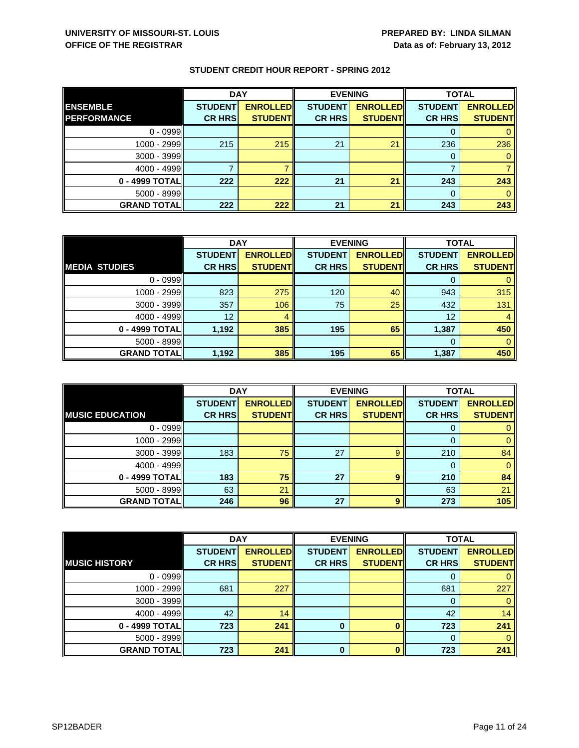|                     | <b>DAY</b>     |                 | <b>EVENING</b> |                 | <b>TOTAL</b>   |                 |
|---------------------|----------------|-----------------|----------------|-----------------|----------------|-----------------|
| <b>ENSEMBLE</b>     | <b>STUDENT</b> | <b>ENROLLED</b> | <b>STUDENT</b> | <b>ENROLLED</b> | <b>STUDENT</b> | <b>ENROLLED</b> |
| <b>PERFORMANCE</b>  | <b>CR HRS</b>  | <b>STUDENT</b>  | <b>CR HRS</b>  | <b>STUDENT</b>  | <b>CR HRS</b>  | <b>STUDENT</b>  |
| $0 - 0999$          |                |                 |                |                 |                |                 |
| 1000 - 2999         | 215            | 215             | 21             | 21              | 236            | 236             |
| $3000 - 3999$       |                |                 |                |                 |                |                 |
| $4000 - 4999$       |                |                 |                |                 |                |                 |
| 0 - 4999 TOTAL      | 222            | 222             | 21             | 21              | 243            | 243             |
| $5000 - 8999$       |                |                 |                |                 |                |                 |
| <b>GRAND TOTALI</b> | 222            | 222             | 21             | 21              | 243            | 243             |

|                      | <b>DAY</b>     |                 | <b>EVENING</b> |                 | <b>TOTAL</b>   |                 |
|----------------------|----------------|-----------------|----------------|-----------------|----------------|-----------------|
|                      | <b>STUDENT</b> | <b>ENROLLED</b> | <b>STUDENT</b> | <b>ENROLLED</b> | <b>STUDENT</b> | <b>ENROLLED</b> |
| <b>MEDIA STUDIES</b> | <b>CR HRS</b>  | <b>STUDENT</b>  | <b>CR HRS</b>  | <b>STUDENT</b>  | <b>CR HRS</b>  | <b>STUDENT</b>  |
| $0 - 0999$           |                |                 |                |                 | 0              | 0               |
| 1000 - 2999          | 823            | 275             | 120            | 40              | 943            | 315             |
| $3000 - 3999$        | 357            | 106             | 75             | 25              | 432            | 131             |
| 4000 - 4999          | 12             | 4               |                |                 | 12             | 4               |
| 0 - 4999 TOTAL       | 1,192          | 385             | 195            | 65              | 1,387          | 450             |
| $5000 - 8999$        |                |                 |                |                 | 0              | $\mathbf{0}$    |
| <b>GRAND TOTALI</b>  | 1,192          | 385             | 195            | 65              | 1,387          | 450             |

|                        | <b>DAY</b>                      |                                   | <b>EVENING</b>                  |                                   | <b>TOTAL</b>                    |                                   |
|------------------------|---------------------------------|-----------------------------------|---------------------------------|-----------------------------------|---------------------------------|-----------------------------------|
| <b>MUSIC EDUCATION</b> | <b>STUDENT</b><br><b>CR HRS</b> | <b>ENROLLED</b><br><b>STUDENT</b> | <b>STUDENT</b><br><b>CR HRS</b> | <b>ENROLLED</b><br><b>STUDENT</b> | <b>STUDENT</b><br><b>CR HRS</b> | <b>ENROLLED</b><br><b>STUDENT</b> |
|                        |                                 |                                   |                                 |                                   |                                 |                                   |
| $0 - 0999$             |                                 |                                   |                                 |                                   | O                               |                                   |
| 1000 - 2999            |                                 |                                   |                                 |                                   |                                 |                                   |
| 3000 - 3999            | 183                             | 75                                | 27                              | 9                                 | 210                             | 84                                |
| $4000 - 4999$          |                                 |                                   |                                 |                                   | 0                               | 0                                 |
| 0 - 4999 TOTAL         | 183                             | 75                                | 27                              | 9                                 | 210                             | 84                                |
| $5000 - 8999$          | 63                              | 21                                |                                 |                                   | 63                              | 21                                |
| <b>GRAND TOTALI</b>    | 246                             | 96                                | 27                              | 9                                 | 273                             | 105                               |

|                       | <b>DAY</b>     |                 |                | <b>EVENING</b>  |                | <b>TOTAL</b>    |  |
|-----------------------|----------------|-----------------|----------------|-----------------|----------------|-----------------|--|
|                       | <b>STUDENT</b> | <b>ENROLLED</b> | <b>STUDENT</b> | <b>ENROLLED</b> | <b>STUDENT</b> | <b>ENROLLED</b> |  |
| <b>IMUSIC HISTORY</b> | <b>CR HRS</b>  | <b>STUDENT</b>  | <b>CR HRS</b>  | <b>STUDENT</b>  | <b>CR HRS</b>  | <b>STUDENT</b>  |  |
| $0 - 0999$            |                |                 |                |                 | 0              | 0               |  |
| 1000 - 2999           | 681            | 227             |                |                 | 681            | 227             |  |
| $3000 - 3999$         |                |                 |                |                 | 0              | $\mathbf{0}$    |  |
| $4000 - 4999$         | 42             | 14              |                |                 | 42             | 14              |  |
| 0 - 4999 TOTAL        | 723            | 241             | $\bf{0}$       |                 | 723            | 241             |  |
| $5000 - 8999$         |                |                 |                |                 | $\Omega$       | $\Omega$        |  |
| <b>GRAND TOTAL</b>    | 723            | 241             | $\bf{0}$       |                 | 723            | 241             |  |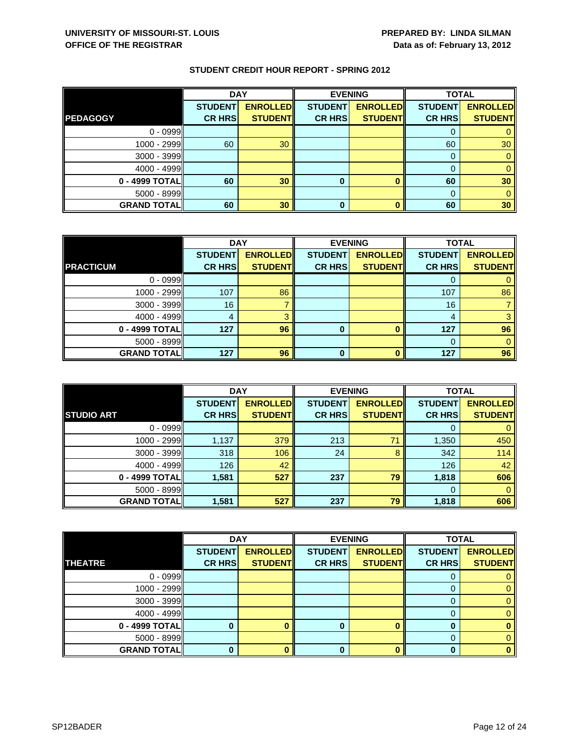|                    | <b>DAY</b>     |                 |                | <b>EVENING</b>  |                | <b>TOTAL</b>    |  |
|--------------------|----------------|-----------------|----------------|-----------------|----------------|-----------------|--|
|                    | <b>STUDENT</b> | <b>ENROLLED</b> | <b>STUDENT</b> | <b>ENROLLED</b> | <b>STUDENT</b> | <b>ENROLLED</b> |  |
| <b>PEDAGOGY</b>    | <b>CR HRS</b>  | <b>STUDENT</b>  | <b>CR HRS</b>  | <b>STUDENT</b>  | <b>CR HRS</b>  | <b>STUDENT</b>  |  |
| $0 - 0999$         |                |                 |                |                 |                |                 |  |
| $1000 - 2999$      | 60             | 30              |                |                 | 60             | 30              |  |
| $3000 - 3999$      |                |                 |                |                 | 0              |                 |  |
| $4000 - 4999$      |                |                 |                |                 |                |                 |  |
| $0 - 4999$ TOTAL   | 60             | 30              | 0              |                 | 60             | 30              |  |
| $5000 - 8999$      |                |                 |                |                 | $\Omega$       |                 |  |
| <b>GRAND TOTAL</b> | 60             | 30              | 0              |                 | 60             | 30              |  |

|                    | <b>DAY</b>     |                 |                | <b>EVENING</b>  | <b>TOTAL</b>   |                 |
|--------------------|----------------|-----------------|----------------|-----------------|----------------|-----------------|
|                    | <b>STUDENT</b> | <b>ENROLLED</b> | <b>STUDENT</b> | <b>ENROLLED</b> | <b>STUDENT</b> | <b>ENROLLED</b> |
| <b>PRACTICUM</b>   | <b>CR HRS</b>  | <b>STUDENT</b>  | <b>CR HRS</b>  | <b>STUDENT</b>  | <b>CR HRS</b>  | <b>STUDENT</b>  |
| $0 - 0999$         |                |                 |                |                 |                |                 |
| 1000 - 2999        | 107            | 86              |                |                 | 107            | 86              |
| 3000 - 3999        | 16             |                 |                |                 | 16             |                 |
| $4000 - 4999$      |                | વ               |                |                 | 4              |                 |
| 0 - 4999 TOTAL     | 127            | 96              | 0              |                 | 127            | 96              |
| $5000 - 8999$      |                |                 |                |                 |                |                 |
| <b>GRAND TOTAL</b> | 127            | 96              | ŋ              |                 | 127            | 96              |

|                     | <b>DAY</b>     |                 |                | <b>EVENING</b>  | <b>TOTAL</b>   |                 |
|---------------------|----------------|-----------------|----------------|-----------------|----------------|-----------------|
|                     | <b>STUDENT</b> | <b>ENROLLED</b> | <b>STUDENT</b> | <b>ENROLLED</b> | <b>STUDENT</b> | <b>ENROLLED</b> |
| <b>STUDIO ART</b>   | <b>CR HRS</b>  | <b>STUDENT</b>  | <b>CR HRS</b>  | <b>STUDENT</b>  | <b>CR HRS</b>  | <b>STUDENT</b>  |
| $0 - 0999$          |                |                 |                |                 | O              | 0               |
| 1000 - 2999         | 1,137          | 379             | 213            | 71              | 1,350          | 450             |
| $3000 - 3999$       | 318            | 106             | 24             | 8               | 342            | 114             |
| $4000 - 4999$       | 126            | 42              |                |                 | 126            | 42              |
| 0 - 4999 TOTAL      | 1,581          | 527             | 237            | 79              | 1,818          | 606             |
| $5000 - 8999$       |                |                 |                |                 | $\Omega$       | $\mathbf{0}$    |
| <b>GRAND TOTALI</b> | 1,581          | 527             | 237            | 79              | 1,818          | 606             |

|                    | <b>DAY</b>     |                 |                | <b>EVENING</b>  | <b>TOTAL</b>   |                 |
|--------------------|----------------|-----------------|----------------|-----------------|----------------|-----------------|
|                    | <b>STUDENT</b> | <b>ENROLLED</b> | <b>STUDENT</b> | <b>ENROLLED</b> | <b>STUDENT</b> | <b>ENROLLED</b> |
| <b>THEATRE</b>     | <b>CR HRS</b>  | <b>STUDENT</b>  | <b>CR HRS</b>  | <b>STUDENT</b>  | <b>CR HRS</b>  | <b>STUDENT</b>  |
| $0 - 0999$         |                |                 |                |                 |                |                 |
| $1000 - 2999$      |                |                 |                |                 |                | 0               |
| $3000 - 3999$      |                |                 |                |                 | O              | 0.              |
| $4000 - 4999$      |                |                 |                |                 |                |                 |
| $0 - 4999$ TOTAL   |                |                 |                |                 |                |                 |
| $5000 - 8999$      |                |                 |                |                 | 0              |                 |
| <b>GRAND TOTAL</b> |                |                 |                |                 | n              | o               |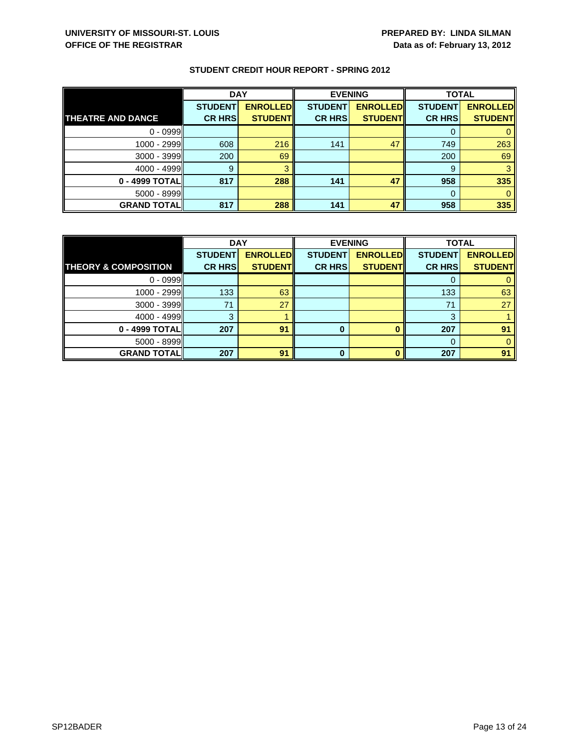|                          | <b>DAY</b>     |                 | <b>EVENING</b> |                 | <b>TOTAL</b>   |                 |
|--------------------------|----------------|-----------------|----------------|-----------------|----------------|-----------------|
|                          | <b>STUDENT</b> | <b>ENROLLED</b> | <b>STUDENT</b> | <b>ENROLLED</b> | <b>STUDENT</b> | <b>ENROLLED</b> |
| <b>THEATRE AND DANCE</b> | <b>CR HRS</b>  | <b>STUDENT</b>  | <b>CR HRS</b>  | <b>STUDENT</b>  | <b>CR HRS</b>  | <b>STUDENT</b>  |
| $0 - 0999$               |                |                 |                |                 |                |                 |
| $1000 - 2999$            | 608            | 216             | 141            | 47              | 749            | 263             |
| $3000 - 3999$            | 200            | 69              |                |                 | 200            | 69              |
| $4000 - 4999$            | 9              |                 |                |                 | 9              |                 |
| 0 - 4999 TOTALI          | 817            | 288             | 141            | 47              | 958            | 335             |
| $5000 - 8999$            |                |                 |                |                 | $\Omega$       |                 |
| <b>GRAND TOTAL</b>       | 817            | 288             | 141            | 47              | 958            | 335             |

|                                 | <b>DAY</b>     |                 | <b>EVENING</b> |                 | <b>TOTAL</b>   |                 |
|---------------------------------|----------------|-----------------|----------------|-----------------|----------------|-----------------|
|                                 | <b>STUDENT</b> | <b>ENROLLED</b> | <b>STUDENT</b> | <b>ENROLLED</b> | <b>STUDENT</b> | <b>ENROLLED</b> |
| <b>THEORY &amp; COMPOSITION</b> | <b>CR HRS</b>  | <b>STUDENT</b>  | <b>CR HRS</b>  | <b>STUDENT</b>  | <b>CR HRS</b>  | <b>STUDENT</b>  |
| $0 - 0999$                      |                |                 |                |                 |                |                 |
| 1000 - 2999                     | 133            | 63              |                |                 | 133            | 63              |
| 3000 - 3999                     | 71             | 27              |                |                 | 71             | 27              |
| $4000 - 4999$                   | З              |                 |                |                 | 3              |                 |
| 0 - 4999 TOTAL                  | 207            | 91              | o              |                 | 207            | 91              |
| $5000 - 8999$                   |                |                 |                |                 | 0              |                 |
| <b>GRAND TOTAL</b>              | 207            | 91              | Λ              |                 | 207            | 91              |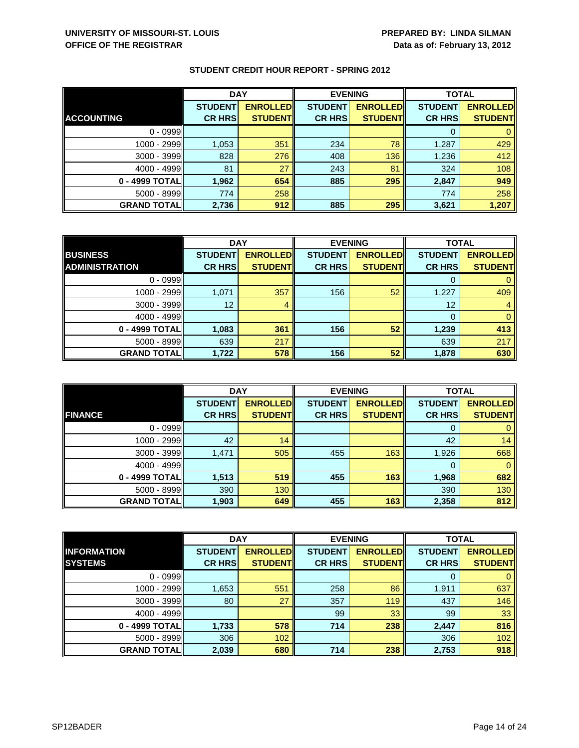|                    | <b>DAY</b>     |                 | <b>EVENING</b> |                 | <b>TOTAL</b>   |                 |
|--------------------|----------------|-----------------|----------------|-----------------|----------------|-----------------|
|                    | <b>STUDENT</b> | <b>ENROLLED</b> | <b>STUDENT</b> | <b>ENROLLED</b> | <b>STUDENT</b> | <b>ENROLLED</b> |
| <b>ACCOUNTING</b>  | <b>CR HRS</b>  | <b>STUDENT</b>  | <b>CR HRS</b>  | <b>STUDENT</b>  | <b>CR HRS</b>  | <b>STUDENT</b>  |
| $0 - 0999$         |                |                 |                |                 |                |                 |
| 1000 - 2999        | 1,053          | 351             | 234            | 78              | 1,287          | 429             |
| $3000 - 3999$      | 828            | 276             | 408            | 136             | 1,236          | 412             |
| $4000 - 4999$      | 81             | 27              | 243            | 81              | 324            | 108             |
| 0 - 4999 TOTAL     | 1,962          | 654             | 885            | 295             | 2,847          | 949             |
| 5000 - 8999        | 774            | 258             |                |                 | 774            | 258             |
| <b>GRAND TOTAL</b> | 2,736          | 912             | 885            | 295             | 3,621          | 1,207           |

|                       | <b>DAY</b>     |                 | <b>EVENING</b> |                 | <b>TOTAL</b>   |                 |
|-----------------------|----------------|-----------------|----------------|-----------------|----------------|-----------------|
| <b>BUSINESS</b>       | <b>STUDENT</b> | <b>ENROLLED</b> | <b>STUDENT</b> | <b>ENROLLED</b> | <b>STUDENT</b> | <b>ENROLLED</b> |
| <b>ADMINISTRATION</b> | <b>CR HRS</b>  | <b>STUDENT</b>  | <b>CR HRS</b>  | <b>STUDENT</b>  | <b>CR HRS</b>  | <b>STUDENT</b>  |
| $0 - 0999$            |                |                 |                |                 |                |                 |
| 1000 - 2999           | 1,071          | 357             | 156            | 52              | 1,227          | 409             |
| $3000 - 3999$         | 12             |                 |                |                 | 12             |                 |
| $4000 - 4999$         |                |                 |                |                 |                | $\Omega$        |
| 0 - 4999 TOTAL        | 1,083          | 361             | 156            | 52              | 1,239          | 413             |
| $5000 - 8999$         | 639            | 217             |                |                 | 639            | 217             |
| <b>GRAND TOTAL</b>    | 1,722          | 578             | 156            | 52              | 1,878          | 630             |

|                     | <b>DAY</b>     |                 |                | <b>EVENING</b>  | <b>TOTAL</b>   |                 |
|---------------------|----------------|-----------------|----------------|-----------------|----------------|-----------------|
|                     | <b>STUDENT</b> | <b>ENROLLED</b> | <b>STUDENT</b> | <b>ENROLLED</b> | <b>STUDENT</b> | <b>ENROLLED</b> |
| <b>FINANCE</b>      | <b>CR HRS</b>  | <b>STUDENT</b>  | <b>CR HRS</b>  | <b>STUDENT</b>  | <b>CR HRS</b>  | <b>STUDENT</b>  |
| $0 - 0999$          |                |                 |                |                 | 0              | $\mathbf{0}$    |
| 1000 - 2999         | 42             | 14              |                |                 | 42             | 14              |
| $3000 - 3999$       | 1,471          | 505             | 455            | 163             | 1,926          | 668             |
| $4000 - 4999$       |                |                 |                |                 | 0              | $\mathbf{0}$    |
| 0 - 4999 TOTAL      | 1,513          | 519             | 455            | 163             | 1,968          | 682             |
| $5000 - 8999$       | 390            | 130             |                |                 | 390            | 130             |
| <b>GRAND TOTALI</b> | 1,903          | 649             | 455            | 163             | 2,358          | 812             |

|                    | <b>DAY</b>     |                 | <b>EVENING</b> |                 | <b>TOTAL</b>   |                 |
|--------------------|----------------|-----------------|----------------|-----------------|----------------|-----------------|
| <b>INFORMATION</b> | <b>STUDENT</b> | <b>ENROLLED</b> | <b>STUDENT</b> | <b>ENROLLED</b> | <b>STUDENT</b> | <b>ENROLLED</b> |
| <b>SYSTEMS</b>     | <b>CR HRS</b>  | <b>STUDENT</b>  | <b>CR HRS</b>  | <b>STUDENT</b>  | <b>CR HRS</b>  | <b>STUDENT</b>  |
| $0 - 0999$         |                |                 |                |                 | 0              | 0               |
| 1000 - 2999        | 1,653          | 551             | 258            | 86              | 1,911          | 637             |
| $3000 - 3999$      | 80             | 27              | 357            | 119             | 437            | 146             |
| $4000 - 4999$      |                |                 | 99             | 33              | 99             | 33              |
| 0 - 4999 TOTAL     | 1,733          | 578             | 714            | 238             | 2,447          | 816             |
| $5000 - 8999$      | 306            | 102             |                |                 | 306            | 102             |
| <b>GRAND TOTAL</b> | 2,039          | 680             | 714            | 238             | 2,753          | 918             |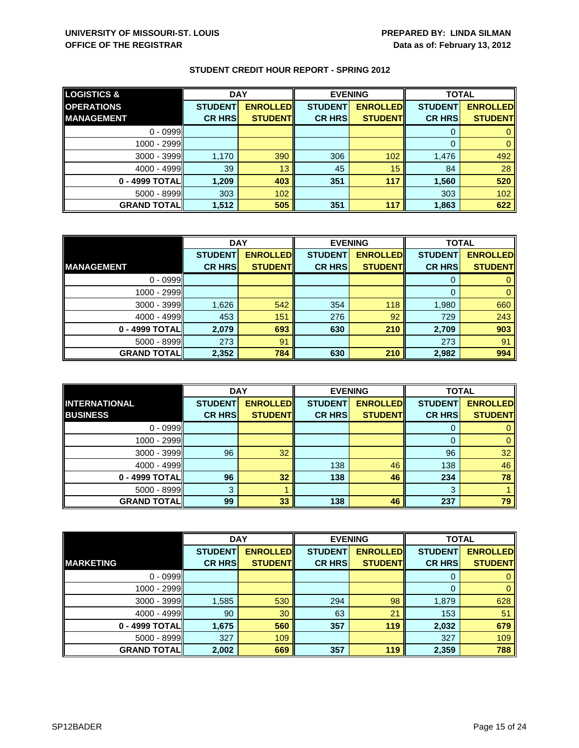| <b>LOGISTICS &amp;</b> | <b>DAY</b>     |                 | <b>EVENING</b> |                 | <b>TOTAL</b>   |                 |
|------------------------|----------------|-----------------|----------------|-----------------|----------------|-----------------|
| <b>OPERATIONS</b>      | <b>STUDENT</b> | <b>ENROLLED</b> | <b>STUDENT</b> | <b>ENROLLED</b> | <b>STUDENT</b> | <b>ENROLLED</b> |
| <b>MANAGEMENT</b>      | <b>CR HRS</b>  | <b>STUDENT</b>  | <b>CR HRS</b>  | <b>STUDENT</b>  | <b>CR HRS</b>  | <b>STUDENT</b>  |
| $0 - 0999$             |                |                 |                |                 |                |                 |
| 1000 - 2999            |                |                 |                |                 |                |                 |
| $3000 - 3999$          | 1,170          | 390             | 306            | 102             | 1,476          | 492             |
| $4000 - 4999$          | 39             | 13              | 45             | 15              | 84             | 28              |
| 0 - 4999 TOTAL         | 1.209          | 403             | 351            | 117             | 1,560          | 520             |
| $5000 - 8999$          | 303            | 102             |                |                 | 303            | 102             |
| <b>GRAND TOTALI</b>    | 1,512          | 505             | 351            | 117             | 1,863          | 622             |

|                    | <b>DAY</b>     |                 |                | <b>EVENING</b>  | <b>TOTAL</b>   |                 |
|--------------------|----------------|-----------------|----------------|-----------------|----------------|-----------------|
|                    | <b>STUDENT</b> | <b>ENROLLED</b> | <b>STUDENT</b> | <b>ENROLLED</b> | <b>STUDENT</b> | <b>ENROLLED</b> |
| <b>MANAGEMENT</b>  | <b>CR HRS</b>  | <b>STUDENT</b>  | <b>CR HRS</b>  | <b>STUDENT</b>  | <b>CR HRS</b>  | <b>STUDENT</b>  |
| $0 - 0999$         |                |                 |                |                 |                |                 |
| 1000 - 2999        |                |                 |                |                 | 0              |                 |
| $3000 - 3999$      | 1,626          | 542             | 354            | 118             | 1,980          | 660             |
| $4000 - 4999$      | 453            | 151             | 276            | 92              | 729            | 243             |
| 0 - 4999 TOTAL     | 2,079          | 693             | 630            | 210             | 2,709          | 903             |
| $5000 - 8999$      | 273            | 91              |                |                 | 273            | 91              |
| <b>GRAND TOTAL</b> | 2,352          | 784             | 630            | 210             | 2,982          | 994             |

|                                         | <b>DAY</b>                      |                                   |                                 | <b>EVENING</b>                    | <b>TOTAL</b>                    |                                   |
|-----------------------------------------|---------------------------------|-----------------------------------|---------------------------------|-----------------------------------|---------------------------------|-----------------------------------|
| <b>INTERNATIONAL</b><br><b>BUSINESS</b> | <b>STUDENT</b><br><b>CR HRS</b> | <b>ENROLLED</b><br><b>STUDENT</b> | <b>STUDENT</b><br><b>CR HRS</b> | <b>ENROLLED</b><br><b>STUDENT</b> | <b>STUDENT</b><br><b>CR HRS</b> | <b>ENROLLED</b><br><b>STUDENT</b> |
|                                         |                                 |                                   |                                 |                                   |                                 |                                   |
| $0 - 0999$                              |                                 |                                   |                                 |                                   | O                               |                                   |
| 1000 - 2999                             |                                 |                                   |                                 |                                   |                                 |                                   |
| 3000 - 3999                             | 96                              | 32                                |                                 |                                   | 96                              | 32                                |
| $4000 - 4999$                           |                                 |                                   | 138                             | 46                                | 138                             | 46                                |
| 0 - 4999 TOTAL                          | 96                              | 32                                | 138                             | 46                                | 234                             | 78                                |
| $5000 - 8999$                           | 3                               |                                   |                                 |                                   | 3                               |                                   |
| <b>GRAND TOTALI</b>                     | 99                              | 33                                | 138                             | 46                                | 237                             | 79                                |

|                    | <b>DAY</b>     |                 | <b>EVENING</b> |                 | <b>TOTAL</b>   |                 |
|--------------------|----------------|-----------------|----------------|-----------------|----------------|-----------------|
|                    | <b>STUDENT</b> | <b>ENROLLED</b> | <b>STUDENT</b> | <b>ENROLLED</b> | <b>STUDENT</b> | <b>ENROLLED</b> |
| <b>MARKETING</b>   | <b>CR HRS</b>  | <b>STUDENT</b>  | <b>CR HRS</b>  | <b>STUDENT</b>  | <b>CR HRS</b>  | <b>STUDENT</b>  |
| $0 - 0999$         |                |                 |                |                 | 0              | $\mathbf{0}$    |
| 1000 - 2999        |                |                 |                |                 | 0              | $\mathbf{0}$    |
| 3000 - 3999        | 1,585          | 530             | 294            | 98              | 1,879          | 628             |
| $4000 - 4999$      | 90             | 30              | 63             | 21              | 153            | 51              |
| 0 - 4999 TOTAL     | 1,675          | 560             | 357            | 119             | 2,032          | 679             |
| 5000 - 8999        | 327            | 109             |                |                 | 327            | 109             |
| <b>GRAND TOTAL</b> | 2,002          | 669             | 357            | 119             | 2,359          | 788             |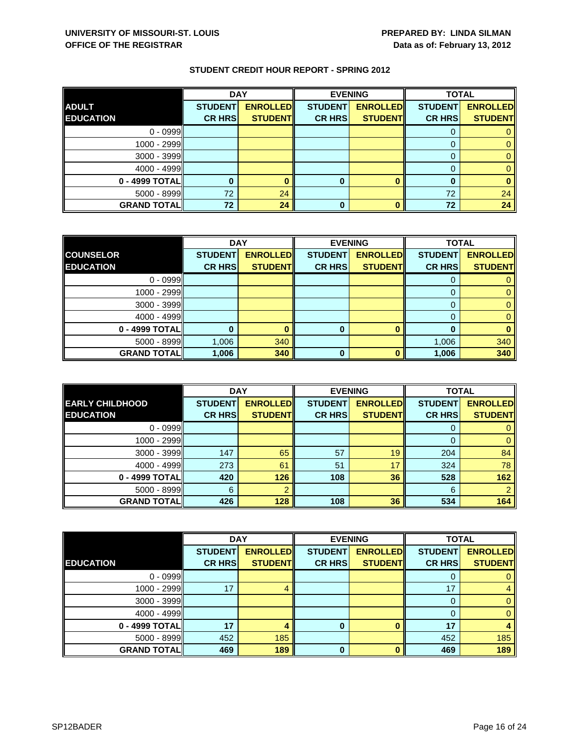|                    | <b>DAY</b>     |                 |                | <b>EVENING</b>  | <b>TOTAL</b>   |                 |
|--------------------|----------------|-----------------|----------------|-----------------|----------------|-----------------|
| <b>ADULT</b>       | <b>STUDENT</b> | <b>ENROLLED</b> | <b>STUDENT</b> | <b>ENROLLED</b> | <b>STUDENT</b> | <b>ENROLLED</b> |
| <b>EDUCATION</b>   | <b>CR HRS</b>  | <b>STUDENT</b>  | <b>CR HRS</b>  | <b>STUDENT</b>  | <b>CR HRS</b>  | <b>STUDENT</b>  |
| $0 - 0999$         |                |                 |                |                 |                |                 |
| 1000 - 2999        |                |                 |                |                 | $\Omega$       |                 |
| $3000 - 3999$      |                |                 |                |                 | 0              |                 |
| $4000 - 4999$      |                |                 |                |                 |                |                 |
| 0 - 4999 TOTAL     |                |                 | 0              | O               | O              |                 |
| $5000 - 8999$      | 72             | 24              |                |                 | 72             | 24              |
| <b>GRAND TOTAL</b> | 72             | 24              | 0              | Λ               | 72             | 24              |

|                    | <b>DAY</b>     |                 |                | <b>EVENING</b>  | <b>TOTAL</b>   |                 |
|--------------------|----------------|-----------------|----------------|-----------------|----------------|-----------------|
| <b>COUNSELOR</b>   | <b>STUDENT</b> | <b>ENROLLED</b> | <b>STUDENT</b> | <b>ENROLLED</b> | <b>STUDENT</b> | <b>ENROLLED</b> |
| <b>EDUCATION</b>   | <b>CR HRS</b>  | <b>STUDENT</b>  | <b>CR HRS</b>  | <b>STUDENT</b>  | <b>CR HRS</b>  | <b>STUDENT</b>  |
| $0 - 0999$         |                |                 |                |                 |                |                 |
| $1000 - 2999$      |                |                 |                |                 | 0              |                 |
| $3000 - 3999$      |                |                 |                |                 |                |                 |
| 4000 - 4999        |                |                 |                |                 |                |                 |
| 0 - 4999 TOTAL     |                |                 | 0              |                 | 0              |                 |
| $5000 - 8999$      | 1,006          | 340             |                |                 | 1,006          | 340             |
| <b>GRAND TOTAL</b> | 1,006          | 340             | ŋ              |                 | 1,006          | 340             |

|                        | <b>DAY</b>     |                 |                | <b>EVENING</b>  | <b>TOTAL</b>   |                 |
|------------------------|----------------|-----------------|----------------|-----------------|----------------|-----------------|
| <b>EARLY CHILDHOOD</b> | <b>STUDENT</b> | <b>ENROLLED</b> | <b>STUDENT</b> | <b>ENROLLED</b> | <b>STUDENT</b> | <b>ENROLLED</b> |
| <b>EDUCATION</b>       | <b>CR HRS</b>  | <b>STUDENT</b>  | <b>CR HRS</b>  | <b>STUDENT</b>  | <b>CR HRS</b>  | <b>STUDENT</b>  |
| $0 - 0999$             |                |                 |                |                 | O              |                 |
| 1000 - 2999            |                |                 |                |                 |                |                 |
| $3000 - 3999$          | 147            | 65              | 57             | 19              | 204            | 84              |
| $4000 - 4999$          | 273            | 61              | 51             | 17              | 324            | 78              |
| 0 - 4999 TOTALI        | 420            | 126             | 108            | 36              | 528            | 162             |
| $5000 - 8999$          | 6              |                 |                |                 | 6              |                 |
| <b>GRAND TOTALI</b>    | 426            | 128             | 108            | 36              | 534            | 164             |

|                    | <b>DAY</b>     |                 |                | <b>EVENING</b>  | <b>TOTAL</b>   |                 |
|--------------------|----------------|-----------------|----------------|-----------------|----------------|-----------------|
|                    | <b>STUDENT</b> | <b>ENROLLED</b> | <b>STUDENT</b> | <b>ENROLLED</b> | <b>STUDENT</b> | <b>ENROLLED</b> |
| <b>EDUCATION</b>   | <b>CR HRS</b>  | <b>STUDENT</b>  | <b>CR HRS</b>  | <b>STUDENT</b>  | <b>CR HRS</b>  | <b>STUDENT</b>  |
| $0 - 0999$         |                |                 |                |                 | O              | 0               |
| 1000 - 2999        | 17             |                 |                |                 | 17             | 4               |
| $3000 - 3999$      |                |                 |                |                 | $\Omega$       | $\mathbf{0}$    |
| $4000 - 4999$      |                |                 |                |                 | 0              | $\mathbf{0}$    |
| 0 - 4999 TOTAL     | 17             |                 | 0              |                 | 17             |                 |
| 5000 - 8999        | 452            | 185             |                |                 | 452            | 185             |
| <b>GRAND TOTAL</b> | 469            | 189             | $\bf{0}$       | n               | 469            | 189             |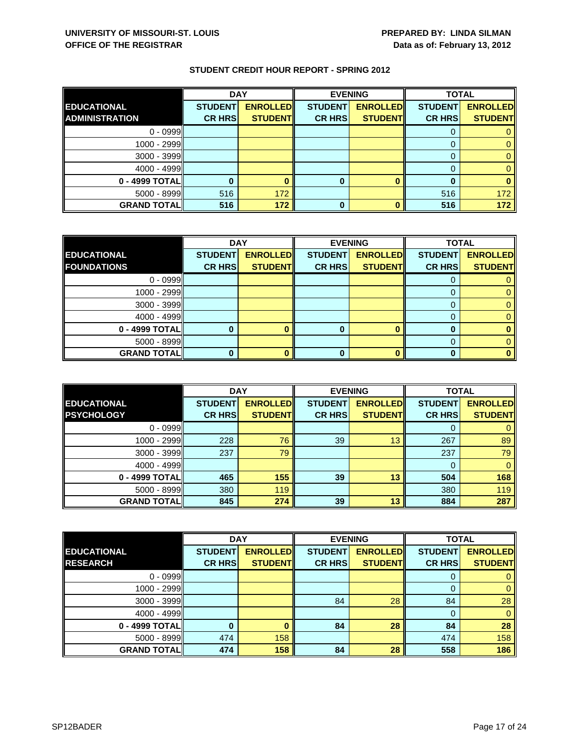|                       | <b>DAY</b>     |                 | <b>EVENING</b> |                 | <b>TOTAL</b>   |                 |
|-----------------------|----------------|-----------------|----------------|-----------------|----------------|-----------------|
| <b>EDUCATIONAL</b>    | <b>STUDENT</b> | <b>ENROLLED</b> | <b>STUDENT</b> | <b>ENROLLED</b> | <b>STUDENT</b> | <b>ENROLLED</b> |
| <b>ADMINISTRATION</b> | <b>CR HRS</b>  | <b>STUDENT</b>  | <b>CR HRS</b>  | <b>STUDENT</b>  | <b>CR HRS</b>  | <b>STUDENT</b>  |
| $0 - 0999$            |                |                 |                |                 |                |                 |
| $1000 - 2999$         |                |                 |                |                 |                |                 |
| $3000 - 3999$         |                |                 |                |                 |                |                 |
| $4000 - 4999$         |                |                 |                |                 |                |                 |
| 0 - 4999 TOTAL        |                |                 | 0              |                 |                |                 |
| $5000 - 8999$         | 516            | 172             |                |                 | 516            | 172             |
| <b>GRAND TOTALI</b>   | 516            | 172             | 0              |                 | 516            | 172             |

|                     | <b>DAY</b>     |                 |                | <b>EVENING</b>  |                | <b>TOTAL</b>    |  |
|---------------------|----------------|-----------------|----------------|-----------------|----------------|-----------------|--|
| <b>EDUCATIONAL</b>  | <b>STUDENT</b> | <b>ENROLLED</b> | <b>STUDENT</b> | <b>ENROLLED</b> | <b>STUDENT</b> | <b>ENROLLED</b> |  |
| <b>FOUNDATIONS</b>  | <b>CR HRS</b>  | <b>STUDENT</b>  | <b>CR HRS</b>  | <b>STUDENT</b>  | <b>CR HRS</b>  | <b>STUDENT</b>  |  |
| $0 - 0999$          |                |                 |                |                 |                |                 |  |
| 1000 - 2999         |                |                 |                |                 |                |                 |  |
| $3000 - 3999$       |                |                 |                |                 |                |                 |  |
| 4000 - 4999         |                |                 |                |                 |                |                 |  |
| 0 - 4999 TOTAL      |                |                 | O              |                 | o              |                 |  |
| 5000 - 8999         |                |                 |                |                 |                |                 |  |
| <b>GRAND TOTALI</b> |                |                 |                |                 |                |                 |  |

|                    | <b>DAY</b><br><b>EVENING</b> |                 | <b>TOTAL</b>   |                 |                |                 |
|--------------------|------------------------------|-----------------|----------------|-----------------|----------------|-----------------|
| <b>EDUCATIONAL</b> | <b>STUDENT</b>               | <b>ENROLLED</b> | <b>STUDENT</b> | <b>ENROLLED</b> | <b>STUDENT</b> | <b>ENROLLED</b> |
| <b>PSYCHOLOGY</b>  | <b>CR HRS</b>                | <b>STUDENT</b>  | <b>CR HRS</b>  | <b>STUDENT</b>  | <b>CR HRS</b>  | <b>STUDENT</b>  |
| $0 - 0999$         |                              |                 |                |                 |                |                 |
| $1000 - 2999$      | 228                          | 76              | 39             | 13              | 267            | 89              |
| $3000 - 3999$      | 237                          | 79              |                |                 | 237            | 79              |
| $4000 - 4999$      |                              |                 |                |                 | 0              |                 |
| 0 - 4999 TOTALI    | 465                          | 155             | 39             | 13              | 504            | 168             |
| $5000 - 8999$      | 380                          | 119             |                |                 | 380            | 119             |
| <b>GRAND TOTAL</b> | 845                          | 274             | 39             | 13              | 884            | 287             |

|                    | <b>DAY</b>     |                 |                | <b>EVENING</b>  |                | <b>TOTAL</b>    |  |
|--------------------|----------------|-----------------|----------------|-----------------|----------------|-----------------|--|
| <b>EDUCATIONAL</b> | <b>STUDENT</b> | <b>ENROLLED</b> | <b>STUDENT</b> | <b>ENROLLED</b> | <b>STUDENT</b> | <b>ENROLLED</b> |  |
| <b>RESEARCH</b>    | <b>CR HRS</b>  | <b>STUDENT</b>  | <b>CR HRS</b>  | <b>STUDENT</b>  | <b>CR HRS</b>  | <b>STUDENT</b>  |  |
| $0 - 0999$         |                |                 |                |                 | 0              | $\mathbf{0}$    |  |
| 1000 - 2999        |                |                 |                |                 | 0              | $\mathbf{0}$    |  |
| 3000 - 3999        |                |                 | 84             | 28              | 84             | 28              |  |
| $4000 - 4999$      |                |                 |                |                 | $\Omega$       | $\mathbf{0}$    |  |
| 0 - 4999 TOTAL     |                |                 | 84             | 28              | 84             | 28              |  |
| $5000 - 8999$      | 474            | 158             |                |                 | 474            | 158             |  |
| <b>GRAND TOTAL</b> | 474            | 158             | 84             | 28              | 558            | 186             |  |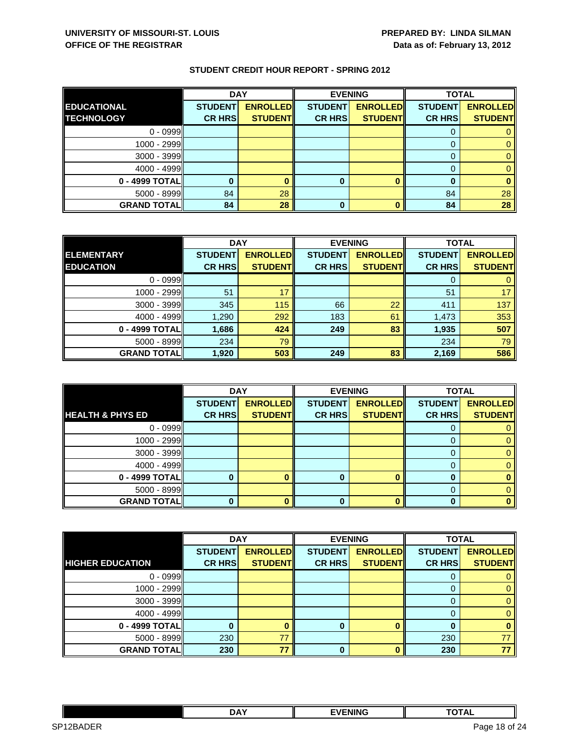|                    | <b>DAY</b>     |                 | <b>EVENING</b> |                 | <b>TOTAL</b>   |                 |
|--------------------|----------------|-----------------|----------------|-----------------|----------------|-----------------|
| <b>EDUCATIONAL</b> | <b>STUDENT</b> | <b>ENROLLED</b> | <b>STUDENT</b> | <b>ENROLLED</b> | <b>STUDENT</b> | <b>ENROLLED</b> |
| <b>TECHNOLOGY</b>  | <b>CR HRS</b>  | <b>STUDENT</b>  | <b>CR HRS</b>  | <b>STUDENT</b>  | <b>CR HRS</b>  | <b>STUDENT</b>  |
| $0 - 0999$         |                |                 |                |                 |                |                 |
| 1000 - 2999        |                |                 |                |                 |                |                 |
| 3000 - 3999        |                |                 |                |                 |                |                 |
| $4000 - 4999$      |                |                 |                |                 |                |                 |
| 0 - 4999 TOTAL     |                |                 | 0              |                 |                |                 |
| $5000 - 8999$      | 84             | 28              |                |                 | 84             | 28              |
| <b>GRAND TOTAL</b> | 84             | 28              | 0              |                 | 84             | 28              |

|                    | <b>DAY</b>     |                 | <b>EVENING</b> |                 | <b>TOTAL</b>   |                 |
|--------------------|----------------|-----------------|----------------|-----------------|----------------|-----------------|
| <b>ELEMENTARY</b>  | <b>STUDENT</b> | <b>ENROLLED</b> | <b>STUDENT</b> | <b>ENROLLED</b> | <b>STUDENT</b> | <b>ENROLLED</b> |
| <b>EDUCATION</b>   | <b>CR HRS</b>  | <b>STUDENT</b>  | <b>CR HRS</b>  | <b>STUDENT</b>  | <b>CR HRS</b>  | <b>STUDENT</b>  |
| $0 - 0999$         |                |                 |                |                 |                |                 |
| 1000 - 2999        | 51             | 17              |                |                 | 51             | 17              |
| $3000 - 3999$      | 345            | 115             | 66             | 22              | 411            | 137             |
| $4000 - 4999$      | 1,290          | 292             | 183            | 61              | 1,473          | 353             |
| 0 - 4999 TOTAL     | 1,686          | 424             | 249            | 83              | 1,935          | 507             |
| $5000 - 8999$      | 234            | 79              |                |                 | 234            | 79              |
| <b>GRAND TOTAL</b> | 1,920          | 503             | 249            | 83              | 2,169          | 586             |

|                             | <b>DAY</b>     |                 |                | <b>EVENING</b>  | <b>TOTAL</b>   |                 |
|-----------------------------|----------------|-----------------|----------------|-----------------|----------------|-----------------|
|                             | <b>STUDENT</b> | <b>ENROLLED</b> | <b>STUDENT</b> | <b>ENROLLED</b> | <b>STUDENT</b> | <b>ENROLLED</b> |
| <b>HEALTH &amp; PHYS ED</b> | <b>CR HRS</b>  | <b>STUDENTI</b> | <b>CR HRS</b>  | <b>STUDENTI</b> | <b>CR HRS</b>  | <b>STUDENT</b>  |
| $0 - 0999$                  |                |                 |                |                 |                |                 |
| 1000 - 2999                 |                |                 |                |                 |                |                 |
| $3000 - 3999$               |                |                 |                |                 |                |                 |
| $4000 - 4999$               |                |                 |                |                 |                |                 |
| 0 - 4999 TOTAL              |                |                 | 0              |                 | O              |                 |
| $5000 - 8999$               |                |                 |                |                 |                |                 |
| <b>GRAND TOTAL</b>          |                |                 | 0              |                 | 0              |                 |

|                          | <b>DAY</b>     |                 |                | <b>EVENING</b>  | <b>TOTAL</b>   |                 |
|--------------------------|----------------|-----------------|----------------|-----------------|----------------|-----------------|
|                          | <b>STUDENT</b> | <b>ENROLLED</b> | <b>STUDENT</b> | <b>ENROLLED</b> | <b>STUDENT</b> | <b>ENROLLED</b> |
| <b>IHIGHER EDUCATION</b> | <b>CR HRS</b>  | <b>STUDENT</b>  | <b>CR HRS</b>  | <b>STUDENT</b>  | <b>CR HRS</b>  | <b>STUDENT</b>  |
| $0 - 0999$               |                |                 |                |                 | U              |                 |
| 1000 - 2999              |                |                 |                |                 | 0              | 0               |
| $3000 - 3999$            |                |                 |                |                 | 0              | 0               |
| $4000 - 4999$            |                |                 |                |                 | 0              | 0               |
| 0 - 4999 TOTAL           |                |                 | $\bf{0}$       |                 | O              | 0               |
| 5000 - 8999              | 230            | 77              |                |                 | 230            |                 |
| <b>GRAND TOTAL</b>       | 230            | 77              | 0              |                 | 230            | 77              |

|                                       | <b>DAY</b> | <b>FVENING</b> | ----<br>ль                  |       |
|---------------------------------------|------------|----------------|-----------------------------|-------|
| <b>IDER</b><br>SP <sub>12</sub><br>חה |            |                | Page<br>- 1 St<br>- - - - - | of 24 |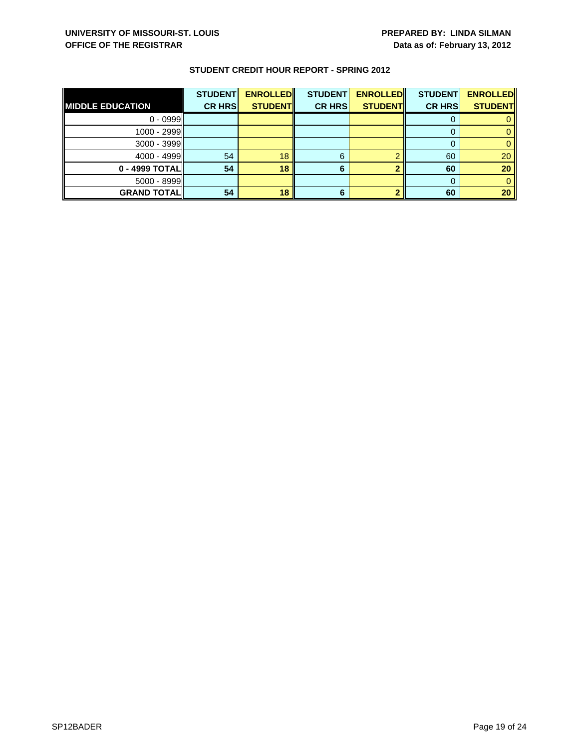|                         | <b>STUDENT</b> | <b>ENROLLED</b> | <b>STUDENT</b> | <b>ENROLLED</b> | <b>STUDENT</b> | <b>ENROLLED</b> |
|-------------------------|----------------|-----------------|----------------|-----------------|----------------|-----------------|
| <b>MIDDLE EDUCATION</b> | <b>CR HRS</b>  | <b>STUDENT</b>  | <b>CR HRS</b>  | <b>STUDENT</b>  | <b>CR HRS</b>  | <b>STUDENT</b>  |
| $0 - 0999$              |                |                 |                |                 |                |                 |
| $1000 - 2999$           |                |                 |                |                 |                |                 |
| $3000 - 3999$           |                |                 |                |                 |                |                 |
| $4000 - 4999$           | 54             | 18              | 6              |                 | 60             | 20              |
| $0 - 4999$ TOTAL        | 54             | 18              |                |                 | 60             | 20              |
| $5000 - 8999$           |                |                 |                |                 |                |                 |
| <b>GRAND TOTAL</b>      | 54             | 18              |                |                 | 60             | 20              |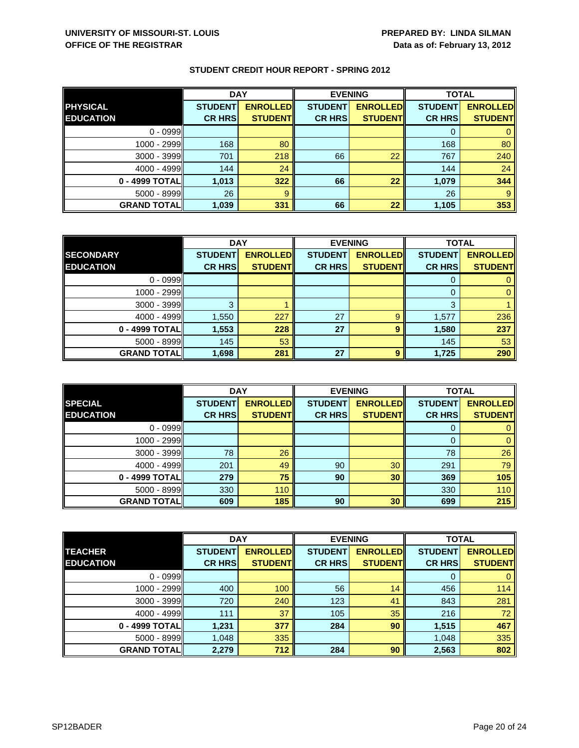|                    | <b>DAY</b>     |                 |                | <b>EVENING</b>  |                | <b>TOTAL</b>    |  |
|--------------------|----------------|-----------------|----------------|-----------------|----------------|-----------------|--|
| <b>PHYSICAL</b>    | <b>STUDENT</b> | <b>ENROLLED</b> | <b>STUDENT</b> | <b>ENROLLED</b> | <b>STUDENT</b> | <b>ENROLLED</b> |  |
| <b>EDUCATION</b>   | <b>CR HRS</b>  | <b>STUDENT</b>  | <b>CR HRS</b>  | <b>STUDENT</b>  | <b>CR HRS</b>  | <b>STUDENT</b>  |  |
| $0 - 0999$         |                |                 |                |                 |                |                 |  |
| 1000 - 2999        | 168            | 80              |                |                 | 168            | 80              |  |
| $3000 - 3999$      | 701            | 218             | 66             | 22              | 767            | 240             |  |
| $4000 - 4999$      | 144            | 24              |                |                 | 144            | 24              |  |
| 0 - 4999 TOTAL     | 1,013          | 322             | 66             | 22              | 1,079          | 344             |  |
| 5000 - 8999        | 26             | -9              |                |                 | 26             | 9               |  |
| <b>GRAND TOTAL</b> | 1,039          | 331             | 66             | 22              | 1,105          | 353             |  |

|                    | <b>DAY</b>     |                 |                | <b>EVENING</b>  | <b>TOTAL</b>   |                 |
|--------------------|----------------|-----------------|----------------|-----------------|----------------|-----------------|
| <b>SECONDARY</b>   | <b>STUDENT</b> | <b>ENROLLED</b> | <b>STUDENT</b> | <b>ENROLLED</b> | <b>STUDENT</b> | <b>ENROLLED</b> |
| <b>EDUCATION</b>   | <b>CR HRS</b>  | <b>STUDENT</b>  | <b>CR HRS</b>  | <b>STUDENT</b>  | <b>CR HRS</b>  | <b>STUDENT</b>  |
| $0 - 0999$         |                |                 |                |                 |                |                 |
| 1000 - 2999        |                |                 |                |                 | $\Omega$       |                 |
| 3000 - 3999        |                |                 |                |                 | 3              |                 |
| $4000 - 4999$      | 1,550          | 227             | 27             | 9               | 1,577          | 236             |
| 0 - 4999 TOTAL     | 1,553          | 228             | 27             | 9               | 1,580          | 237             |
| $5000 - 8999$      | 145            | 53              |                |                 | 145            | 53              |
| <b>GRAND TOTAL</b> | 1,698          | 281             | 27             | Q               | 1,725          | 290             |

|                    | <b>DAY</b>     |                 |                | <b>EVENING</b>  | <b>TOTAL</b>   |                 |
|--------------------|----------------|-----------------|----------------|-----------------|----------------|-----------------|
| <b>SPECIAL</b>     | <b>STUDENT</b> | <b>ENROLLED</b> | <b>STUDENT</b> | <b>ENROLLED</b> | <b>STUDENT</b> | <b>ENROLLED</b> |
| <b>EDUCATION</b>   | <b>CR HRS</b>  | <b>STUDENT</b>  | <b>CR HRS</b>  | <b>STUDENT</b>  | <b>CR HRS</b>  | <b>STUDENT</b>  |
| $0 - 0999$         |                |                 |                |                 |                |                 |
| $1000 - 2999$      |                |                 |                |                 | $\Omega$       |                 |
| 3000 - 3999        | 78             | 26              |                |                 | 78             | 26              |
| $4000 - 4999$      | 201            | 49              | 90             | 30              | 291            | 79              |
| 0 - 4999 TOTAL     | 279            | 75              | 90             | 30              | 369            | 105             |
| $5000 - 8999$      | 330            | 110             |                |                 | 330            | 110             |
| <b>GRAND TOTAL</b> | 609            | 185             | 90             | 30              | 699            | 215             |

|                    | <b>DAY</b>     |                 |                | <b>EVENING</b>  | <b>TOTAL</b>   |                 |
|--------------------|----------------|-----------------|----------------|-----------------|----------------|-----------------|
| <b>TEACHER</b>     | <b>STUDENT</b> | <b>ENROLLED</b> | <b>STUDENT</b> | <b>ENROLLED</b> | <b>STUDENT</b> | <b>ENROLLED</b> |
| <b>EDUCATION</b>   | <b>CR HRS</b>  | <b>STUDENT</b>  | <b>CR HRS</b>  | <b>STUDENT</b>  | <b>CR HRS</b>  | <b>STUDENT</b>  |
| $0 - 0999$         |                |                 |                |                 | 0              | $\mathbf{0}$    |
| 1000 - 2999        | 400            | 100             | 56             | 14              | 456            | 114             |
| 3000 - 3999        | 720            | 240             | 123            | 41              | 843            | 281             |
| $4000 - 4999$      | 111            | 37              | 105            | 35              | 216            | 72 <sub>1</sub> |
| 0 - 4999 TOTAL     | 1,231          | 377             | 284            | 90              | 1,515          | 467             |
| $5000 - 8999$      | 1,048          | 335             |                |                 | 1,048          | 335             |
| <b>GRAND TOTAL</b> | 2,279          | 712             | 284            | 90              | 2,563          | 802             |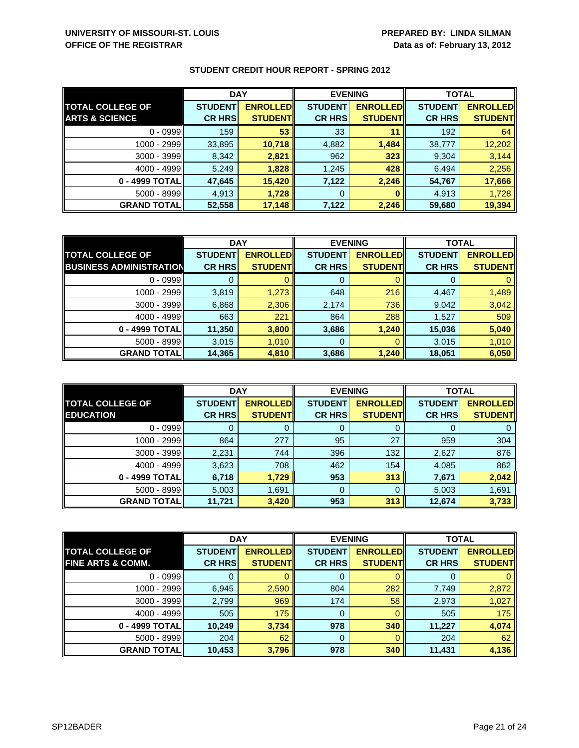|                           | <b>DAY</b>     |                 | <b>EVENING</b> |                 | <b>TOTAL</b>   |                 |
|---------------------------|----------------|-----------------|----------------|-----------------|----------------|-----------------|
| <b>TOTAL COLLEGE OF</b>   | <b>STUDENT</b> | <b>ENROLLED</b> | <b>STUDENT</b> | <b>ENROLLED</b> | <b>STUDENT</b> | <b>ENROLLED</b> |
| <b>ARTS &amp; SCIENCE</b> | <b>CR HRS</b>  | <b>STUDENTI</b> | <b>CR HRS</b>  | <b>STUDENT</b>  | <b>CR HRS</b>  | <b>STUDENT</b>  |
| $0 - 0999$                | 159            | 53              | 33             | 11              | 192            | 64              |
| 1000 - 2999               | 33,895         | 10,718          | 4,882          | 1,484           | 38,777         | 12,202          |
| $3000 - 3999$             | 8,342          | 2,821           | 962            | 323             | 9,304          | 3,144           |
| $4000 - 4999$             | 5,249          | 1,828           | 1,245          | 428             | 6,494          | 2,256           |
| 0 - 4999 TOTAL            | 47,645         | 15,420          | 7,122          | 2,246           | 54,767         | 17,666          |
| $5000 - 8999$             | 4.913          | 1,728           | 0              |                 | 4,913          | 1,728           |
| <b>GRAND TOTAL</b>        | 52,558         | 17,148          | 7,122          | 2,246           | 59,680         | 19,394          |

|                                | <b>DAY</b>     |                 |                | <b>EVENING</b>  | <b>TOTAL</b>   |                 |
|--------------------------------|----------------|-----------------|----------------|-----------------|----------------|-----------------|
| <b>TOTAL COLLEGE OF</b>        | <b>STUDENT</b> | <b>ENROLLED</b> | <b>STUDENT</b> | <b>ENROLLED</b> | <b>STUDENT</b> | <b>ENROLLED</b> |
| <b>BUSINESS ADMINISTRATION</b> | <b>CR HRS</b>  | <b>STUDENT</b>  | <b>CR HRS</b>  | <b>STUDENTI</b> | <b>CR HRS</b>  | <b>STUDENT</b>  |
| $0 - 0999$                     |                |                 | 0              |                 |                | 0               |
| 1000 - 2999                    | 3,819          | 1,273           | 648            | 216             | 4,467          | 1,489           |
| 3000 - 3999                    | 6,868          | 2,306           | 2,174          | 736             | 9,042          | 3,042           |
| $4000 - 4999$                  | 663            | 221             | 864            | 288             | 1,527          | 509             |
| 0 - 4999 TOTAL                 | 11,350         | 3,800           | 3,686          | 1,240           | 15,036         | 5,040           |
| $5000 - 8999$                  | 3,015          | 1,010           | $\mathbf 0$    |                 | 3,015          | 1,010           |
| <b>GRAND TOTAL</b>             | 14,365         | 4,810           | 3,686          | 1,240           | 18,051         | 6,050           |

|                                             | <b>DAY</b>                      |                                   | <b>EVENING</b>                  |                                   | <b>TOTAL</b>                    |                                   |
|---------------------------------------------|---------------------------------|-----------------------------------|---------------------------------|-----------------------------------|---------------------------------|-----------------------------------|
| <b>TOTAL COLLEGE OF</b><br><b>EDUCATION</b> | <b>STUDENT</b><br><b>CR HRS</b> | <b>ENROLLED</b><br><b>STUDENT</b> | <b>STUDENT</b><br><b>CR HRS</b> | <b>ENROLLED</b><br><b>STUDENT</b> | <b>STUDENT</b><br><b>CR HRS</b> | <b>ENROLLED</b><br><b>STUDENT</b> |
| $0 - 0999$                                  |                                 |                                   | Ő                               | Ü                                 | U                               |                                   |
| 1000 - 2999                                 | 864                             | 277                               | 95                              | 27                                | 959                             | 304                               |
| $3000 - 3999$                               | 2,231                           | 744                               | 396                             | 132                               | 2,627                           | 876                               |
| $4000 - 4999$                               | 3,623                           | 708                               | 462                             | 154                               | 4,085                           | 862                               |
| 0 - 4999 TOTAL                              | 6,718                           | 1,729                             | 953                             | 313                               | 7,671                           | 2,042                             |
| $5000 - 8999$                               | 5,003                           | 1,691                             | 0                               | 0                                 | 5,003                           | 1,691                             |
| <b>GRAND TOTALI</b>                         | 11,721                          | 3,420                             | 953                             | 313                               | 12,674                          | 3,733                             |

|                              | <b>DAY</b>     |                 | <b>EVENING</b> |                 | <b>TOTAL</b>   |                 |
|------------------------------|----------------|-----------------|----------------|-----------------|----------------|-----------------|
| <b>TOTAL COLLEGE OF</b>      | <b>STUDENT</b> | <b>ENROLLED</b> | <b>STUDENT</b> | <b>ENROLLED</b> | <b>STUDENT</b> | <b>ENROLLED</b> |
| <b>FINE ARTS &amp; COMM.</b> | <b>CR HRS</b>  | <b>STUDENT</b>  | <b>CR HRS</b>  | <b>STUDENT</b>  | <b>CR HRS</b>  | <b>STUDENT</b>  |
| $0 - 0999$                   |                |                 | 0              |                 | O              | $\mathbf{0}$    |
| 1000 - 2999                  | 6,945          | 2,590           | 804            | 282             | 7,749          | 2,872           |
| $3000 - 3999$                | 2,799          | 969             | 174            | 58              | 2,973          | 1,027           |
| $4000 - 4999$                | 505            | 175             | 0              |                 | 505            | 175             |
| 0 - 4999 TOTAL               | 10.249         | 3,734           | 978            | 340             | 11,227         | 4,074           |
| $5000 - 8999$                | 204            | 62              | $\mathbf 0$    |                 | 204            | 62              |
| <b>GRAND TOTALI</b>          | 10,453         | 3,796           | 978            | 340             | 11,431         | 4,136           |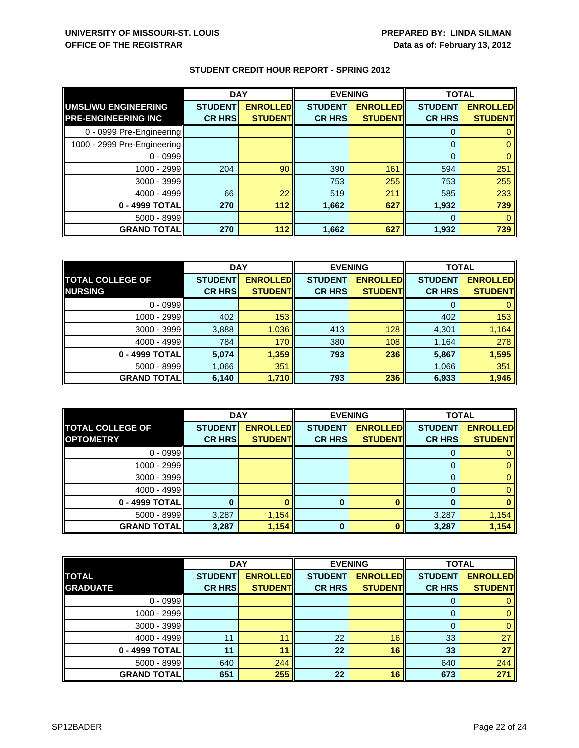|                             | <b>DAY</b>     |                 | <b>EVENING</b> |                 | <b>TOTAL</b>   |                 |
|-----------------------------|----------------|-----------------|----------------|-----------------|----------------|-----------------|
| UMSL/WU ENGINEERING         | <b>STUDENT</b> | <b>ENROLLED</b> | <b>STUDENT</b> | <b>ENROLLED</b> | <b>STUDENT</b> | <b>ENROLLED</b> |
| <b>PRE-ENGINEERING INC</b>  | <b>CR HRS</b>  | <b>STUDENT</b>  | <b>CR HRS</b>  | <b>STUDENT</b>  | <b>CR HRS</b>  | <b>STUDENT</b>  |
| 0 - 0999 Pre-Engineering    |                |                 |                |                 | 0              |                 |
| 1000 - 2999 Pre-Engineering |                |                 |                |                 | $\Omega$       |                 |
| $0 - 0999$                  |                |                 |                |                 | $\Omega$       |                 |
| 1000 - 2999                 | 204            | 90              | 390            | 161             | 594            | 251             |
| $3000 - 3999$               |                |                 | 753            | 255             | 753            | 255             |
| 4000 - 4999                 | 66             | 22              | 519            | 211             | 585            | 233             |
| 0 - 4999 TOTAL              | 270            | 112             | 1,662          | 627             | 1,932          | 739             |
| $5000 - 8999$               |                |                 |                |                 | 0              |                 |
| <b>GRAND TOTAL</b>          | 270            | 112             | 1,662          | 627             | 1,932          | 739             |

|                         | <b>DAY</b>     |                 | <b>EVENING</b> |                 | <b>TOTAL</b>   |                 |
|-------------------------|----------------|-----------------|----------------|-----------------|----------------|-----------------|
| <b>TOTAL COLLEGE OF</b> | <b>STUDENT</b> | <b>ENROLLED</b> | <b>STUDENT</b> | <b>ENROLLED</b> | <b>STUDENT</b> | <b>ENROLLED</b> |
| <b>NURSING</b>          | <b>CR HRS</b>  | <b>STUDENT</b>  | <b>CR HRS</b>  | <b>STUDENT</b>  | <b>CR HRS</b>  | <b>STUDENT</b>  |
| $0 - 0999$              |                |                 |                |                 | 0              |                 |
| 1000 - 2999             | 402            | 153             |                |                 | 402            | 153             |
| $3000 - 3999$           | 3,888          | 1,036           | 413            | 128             | 4,301          | 1,164           |
| $4000 - 4999$           | 784            | 170             | 380            | 108             | 1,164          | 278             |
| 0 - 4999 TOTAL          | 5,074          | 1,359           | 793            | 236             | 5,867          | 1,595           |
| $5000 - 8999$           | 1,066          | 351             |                |                 | 1,066          | 351             |
| <b>GRAND TOTALI</b>     | 6,140          | 1,710           | 793            | 236             | 6,933          | 1,946           |

|                         | <b>DAY</b>     |                 | <b>EVENING</b> |                 | <b>TOTAL</b>   |                 |
|-------------------------|----------------|-----------------|----------------|-----------------|----------------|-----------------|
| <b>TOTAL COLLEGE OF</b> | <b>STUDENT</b> | <b>ENROLLED</b> | <b>STUDENT</b> | <b>ENROLLED</b> | <b>STUDENT</b> | <b>ENROLLED</b> |
| <b>OPTOMETRY</b>        | <b>CR HRS</b>  | <b>STUDENT</b>  | <b>CR HRS</b>  | <b>STUDENT</b>  | <b>CR HRS</b>  | <b>STUDENT</b>  |
| $0 - 0999$              |                |                 |                |                 |                |                 |
| $1000 - 2999$           |                |                 |                |                 |                |                 |
| $3000 - 3999$           |                |                 |                |                 |                |                 |
| $4000 - 4999$           |                |                 |                |                 |                |                 |
| 0 - 4999 TOTAL          |                |                 | 0              |                 |                |                 |
| $5000 - 8999$           | 3,287          | 1,154           |                |                 | 3,287          | 1,154           |
| <b>GRAND TOTAL</b>      | 3,287          | 1,154           | 0              |                 | 3,287          | 1,154           |

|                    | <b>DAY</b>     |                 | <b>EVENING</b> |                 | <b>TOTAL</b>   |                 |
|--------------------|----------------|-----------------|----------------|-----------------|----------------|-----------------|
| <b>TOTAL</b>       | <b>STUDENT</b> | <b>ENROLLED</b> | <b>STUDENT</b> | <b>ENROLLED</b> | <b>STUDENT</b> | <b>ENROLLED</b> |
| <b>GRADUATE</b>    | <b>CR HRS</b>  | <b>STUDENT</b>  | <b>CR HRS</b>  | <b>STUDENT</b>  | <b>CR HRS</b>  | <b>STUDENT</b>  |
| $0 - 0999$         |                |                 |                |                 |                |                 |
| 1000 - 2999        |                |                 |                |                 |                |                 |
| 3000 - 3999        |                |                 |                |                 |                |                 |
| $4000 - 4999$      | 11             | 11              | 22             | 16              | 33             | 27              |
| 0 - 4999 TOTAL     | 11             | 11              | 22             | 16              | 33             | 27              |
| $5000 - 8999$      | 640            | 244             |                |                 | 640            | 244             |
| <b>GRAND TOTAL</b> | 651            | 255             | 22             | 16              | 673            | 271             |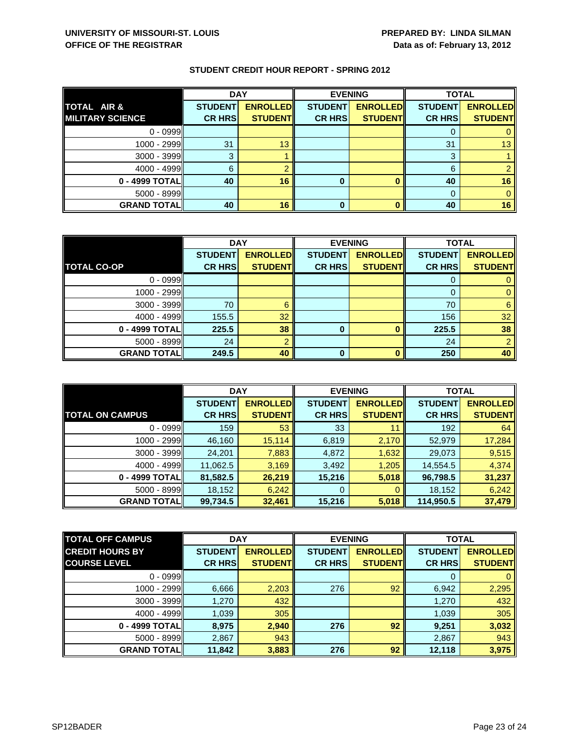|                         | <b>DAY</b>     |                 |                | <b>EVENING</b>  | <b>TOTAL</b>   |                 |
|-------------------------|----------------|-----------------|----------------|-----------------|----------------|-----------------|
| TOTAL AIR &             | <b>STUDENT</b> | <b>ENROLLED</b> | <b>STUDENT</b> | <b>ENROLLED</b> | <b>STUDENT</b> | <b>ENROLLED</b> |
| <b>MILITARY SCIENCE</b> | <b>CR HRS</b>  | <b>STUDENT</b>  | <b>CR HRS</b>  | <b>STUDENT</b>  | <b>CR HRS</b>  | <b>STUDENT</b>  |
| $0 - 0999$              |                |                 |                |                 |                |                 |
| $1000 - 2999$           | 31             | 13              |                |                 | 31             | 13 <sup>°</sup> |
| $3000 - 3999$           | 3              |                 |                |                 | 3              |                 |
| $4000 - 4999$           | 6              |                 |                |                 | 6              |                 |
| 0 - 4999 TOTAL          | 40             | 16              | 0              |                 | 40             | 16              |
| $5000 - 8999$           |                |                 |                |                 |                |                 |
| <b>GRAND TOTAL</b>      | 40             | 16              | 0              |                 | 40             | 16              |

|                    | <b>DAY</b>     |                 | <b>EVENING</b> |                 | <b>TOTAL</b>   |                 |
|--------------------|----------------|-----------------|----------------|-----------------|----------------|-----------------|
|                    | <b>STUDENT</b> | <b>ENROLLED</b> | <b>STUDENT</b> | <b>ENROLLED</b> | <b>STUDENT</b> | <b>ENROLLED</b> |
| <b>TOTAL CO-OP</b> | <b>CR HRS</b>  | <b>STUDENT</b>  | <b>CR HRS</b>  | <b>STUDENT</b>  | <b>CR HRS</b>  | <b>STUDENT</b>  |
| $0 - 0999$         |                |                 |                |                 |                |                 |
| 1000 - 2999        |                |                 |                |                 | 0              |                 |
| $3000 - 3999$      | 70             | 6               |                |                 | 70             | 6               |
| $4000 - 4999$      | 155.5          | 32              |                |                 | 156            | 32              |
| 0 - 4999 TOTAL     | 225.5          | 38              | 0              | O               | 225.5          | 38              |
| $5000 - 8999$      | 24             | $\Omega$        |                |                 | 24             |                 |
| <b>GRAND TOTAL</b> | 249.5          | 40              | $\Omega$       | n               | 250            | 40              |

|                        | <b>DAY</b>     |                 | <b>EVENING</b> |                 | <b>TOTAL</b>   |                 |
|------------------------|----------------|-----------------|----------------|-----------------|----------------|-----------------|
|                        | <b>STUDENT</b> | <b>ENROLLED</b> | <b>STUDENT</b> | <b>ENROLLED</b> | <b>STUDENT</b> | <b>ENROLLED</b> |
| <b>TOTAL ON CAMPUS</b> | <b>CR HRS</b>  | <b>STUDENT</b>  | <b>CR HRS</b>  | <b>STUDENT</b>  | <b>CR HRS</b>  | <b>STUDENT</b>  |
| $0 - 0999$             | 159            | 53              | 33             | 11              | 192            | 64              |
| $1000 - 2999$          | 46,160         | 15,114          | 6,819          | 2,170           | 52,979         | 17,284          |
| $3000 - 3999$          | 24,201         | 7,883           | 4,872          | 1,632           | 29,073         | 9,515           |
| $4000 - 4999$          | 11,062.5       | 3,169           | 3,492          | 1,205           | 14,554.5       | 4,374           |
| 0 - 4999 TOTAL         | 81,582.5       | 26,219          | 15,216         | 5,018           | 96,798.5       | 31,237          |
| $5000 - 8999$          | 18,152         | 6,242           | 0              | $\Omega$        | 18,152         | 6,242           |
| <b>GRAND TOTALI</b>    | 99,734.5       | 32,461          | 15,216         | 5,018           | 114,950.5      | 37,479          |

| <b>TOTAL OFF CAMPUS</b> | <b>DAY</b>     |                 | <b>EVENING</b> |                 | <b>TOTAL</b>   |                 |
|-------------------------|----------------|-----------------|----------------|-----------------|----------------|-----------------|
| <b>CREDIT HOURS BY</b>  | <b>STUDENT</b> | <b>ENROLLED</b> | <b>STUDENT</b> | <b>ENROLLED</b> | <b>STUDENT</b> | <b>ENROLLED</b> |
| <b>COURSE LEVEL</b>     | <b>CR HRS</b>  | <b>STUDENT</b>  | <b>CR HRS</b>  | <b>STUDENT</b>  | <b>CR HRS</b>  | <b>STUDENT</b>  |
| $0 - 0999$              |                |                 |                |                 | $\Omega$       | $\mathbf{0}$    |
| 1000 - 2999             | 6,666          | 2,203           | 276            | 92              | 6,942          | 2,295           |
| 3000 - 3999             | 1,270          | 432             |                |                 | 1,270          | 432             |
| $4000 - 4999$           | 1,039          | 305             |                |                 | 1,039          | 305             |
| 0 - 4999 TOTALI         | 8,975          | 2,940           | 276            | 92              | 9,251          | 3,032           |
| $5000 - 8999$           | 2,867          | 943             |                |                 | 2,867          | 943             |
| <b>GRAND TOTAL</b>      | 11,842         | 3,883           | 276            | 92              | 12,118         | 3,975           |